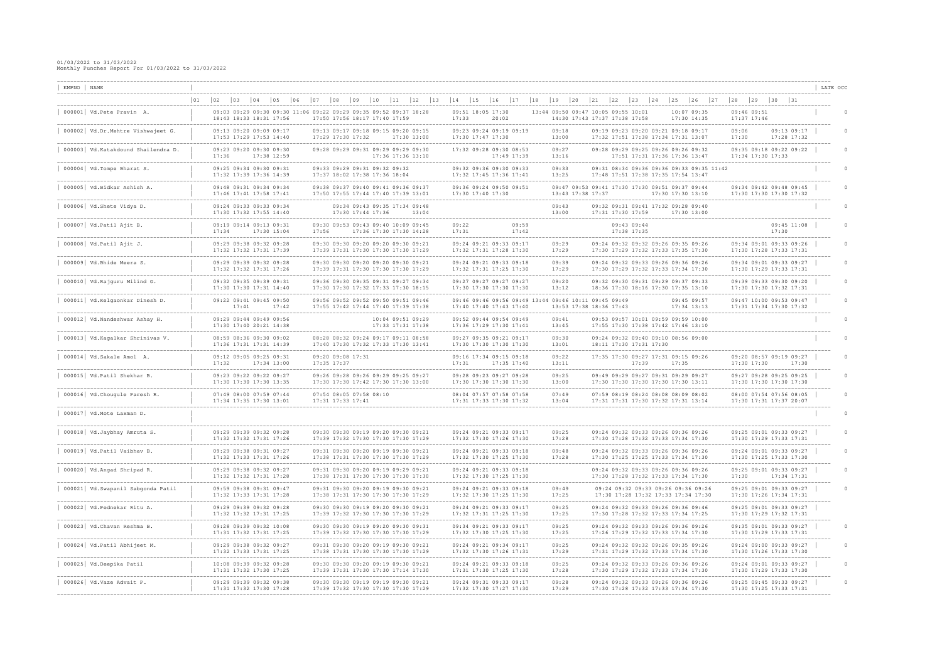| EMPNO NAME | . _ _ _ _ _ _ _ _ _ _ _ _ _ _ _ _ _ _                               |              |              |                                                                                    |                                       |                 |       |       |                                                                |              |                   |      |                                                                                                            |    |                            |              |    |                                                                                       |    |                                     |                            |                         |    |    |                                                    |                                                                                                             |              |                            |    |                |                            |                                                                                         |                         | LATE OCC |
|------------|---------------------------------------------------------------------|--------------|--------------|------------------------------------------------------------------------------------|---------------------------------------|-----------------|-------|-------|----------------------------------------------------------------|--------------|-------------------|------|------------------------------------------------------------------------------------------------------------|----|----------------------------|--------------|----|---------------------------------------------------------------------------------------|----|-------------------------------------|----------------------------|-------------------------|----|----|----------------------------------------------------|-------------------------------------------------------------------------------------------------------------|--------------|----------------------------|----|----------------|----------------------------|-----------------------------------------------------------------------------------------|-------------------------|----------|
|            |                                                                     | $ 01\rangle$ | $ 02\rangle$ | $ 03\rangle$                                                                       | $ 04\rangle$                          | $ 05\rangle$    | 06    | 107   | $\begin{array}{c} 0 & 8 \end{array}$                           | $ 09\rangle$ | 10                | $11$ | 12                                                                                                         | 13 | 14                         | $ 15\rangle$ | 16 | 17                                                                                    | 18 | $ 19\rangle$                        |                            | $ 20\rangle$            | 21 | 22 | $ 23\rangle$<br>__________________________________ | 24                                                                                                          | $ 25\rangle$ | 26                         | 27 | $ 28\rangle$   | $ 29\rangle$               | $ 30\rangle$<br>$\begin{array}{c} \boxed{31} \end{array}$                               |                         |          |
|            | 000001 Vd. Pete Pravin A.                                           |              |              | 18:43 18:33 18:31 17:56                                                            |                                       |                 |       |       | 17:50 17:56 18:17 17:40 17:59                                  |              |                   |      | 09:03 09:29 09:30 09:30 11:06 09:22 09:29 09:35 09:52 09:37 18:28                                          |    | 09:51 18:05 17:30<br>17:33 |              |    | 20:02                                                                                 |    | 13:44 09:50 09:47 10:05 09:55 10:01 |                            |                         |    |    | 14:30 17:43 17:37 17:38 17:58                      |                                                                                                             |              | 10:07 09:35<br>17:30 14:35 |    |                | 09:46 09:51<br>17:37 17:46 |                                                                                         |                         |          |
|            | 000002   Vd.Dr.Mehtre Vishwajeet G.                                 |              |              | 09:13 09:20 09:09 09:17<br>17:53 17:29 17:53 14:40                                 |                                       |                 |       |       | 17:29 17:30 17:32                                              |              |                   |      | 09:13 09:17 09:18 09:15 09:20 09:15<br>17:30 13:00                                                         |    | 17:30 17:47 17:30          |              |    | 09:23 09:24 09:19 09:19                                                               |    |                                     | 09:18<br>13:00             |                         |    |    |                                                    | 09:19 09:23 09:20 09:21 09:18 09:17<br>17:32 17:51 17:38 17:34 17:31 13:07                                  |              |                            |    | 09:06<br>17:30 |                            | $09:13$ $09:17$<br>17:28 17:32                                                          |                         |          |
|            | 000003   Vd.Katakdound Shailendra D.                                |              | 17:36        | 09:23 09:20 09:30 09:30                                                            |                                       | 17:38 12:59     |       |       |                                                                |              |                   |      | 09:28 09:29 09:31 09:29 09:29 09:30<br>17:36 17:36 13:10                                                   |    |                            |              |    | 17:32 09:28 09:30 08:53<br>17:49 17:39                                                |    |                                     | 09:27<br>13:16             |                         |    |    |                                                    | 09:28 09:29 09:25 09:26 09:26 09:32<br>17:51 17:31 17:36 17:36 13:47                                        |              |                            |    |                | 17:34 17:30 17:33          | 09:35 09:18 09:22 09:22                                                                 |                         |          |
|            | 000004 Vd. Tompe Bharat S.                                          |              |              | 09:25 09:34 09:30 09:31<br>17:32 17:39 17:36 14:39                                 |                                       |                 |       |       | 09:33 09:29 09:31 09:32 09:32<br>17:37 18:02 17:38 17:36 18:04 |              |                   |      |                                                                                                            |    |                            |              |    | 09:32 09:36 09:30 09:33<br>17:32 17:45 17:36 17:41                                    |    |                                     | 09:33<br>13:25             |                         |    |    |                                                    | 09:31 08:34 09:36 09:36 09:33 09:35 11:42<br>17:48 17:51 17:38 17:35 17:54 13:47                            |              |                            |    |                |                            |                                                                                         |                         |          |
|            | 000005 Vd.Bidkar Ashish A.                                          |              |              | 09:48 09:31 09:34 09:34<br>17:46 17:41 17:58 17:41                                 |                                       |                 |       |       |                                                                |              |                   |      | 09:38 09:37 09:40 09:41 09:36 09:37<br>17:50 17:55 17:44 17:40 17:39 13:01                                 |    | 17:30 17:40 17:30          |              |    | 09:36 09:24 09:50 09:51                                                               |    |                                     |                            | 13:43 17:38 17:37       |    |    |                                                    | 09:47 09:53 09:41 17:30 17:30 09:51 09:37 09:44                                                             |              | 17:30 17:30 13:10          |    |                |                            | 09:34 09:42 09:48 09:45<br>17:30 17:30 17:30 17:32                                      |                         |          |
|            | 000006 Vd.Shete Vidya D.                                            |              |              | 09:24 09:33 09:33 09:34<br>17:30 17:32 17:55 14:40                                 |                                       |                 |       |       |                                                                |              | 17:30 17:44 17:36 |      | 09:34 09:43 09:35 17:34 09:48<br>13:04                                                                     |    |                            |              |    |                                                                                       |    |                                     | 09:43<br>13:00             |                         |    |    | 17:31 17:30 17:59                                  | 09:32 09:31 09:41 17:32 09:28 09:40                                                                         |              | 17:30 13:00                |    |                |                            |                                                                                         |                         |          |
|            | $000007$ Vd. Patil Ajit B.                                          |              | 17:34        | 09:19 09:14 09:13 09:31                                                            |                                       | $17:30$ $15:04$ |       | 17:56 |                                                                |              |                   |      | 09:30 09:53 09:43 09:40 10:09 09:45<br>17:36 17:30 17:30 14:28                                             |    | 09:22<br>17:31             |              |    | 09:59<br>17:42                                                                        |    |                                     |                            |                         |    |    | 09:43 09:44<br>17:38 17:35                         |                                                                                                             |              |                            |    |                |                            | $09:45$ 11:08<br>17:30                                                                  |                         |          |
|            | ----------------------<br>$000008$ Vd. Patil Ajit J.                |              |              | 09:29 09:38 09:32 09:28<br>17:32 17:32 17:31 17:39                                 |                                       |                 |       |       |                                                                |              |                   |      | 09:30 09:30 09:20 09:20 09:30 09:21<br>17:39 17:31 17:30 17:30 17:30 17:29                                 |    |                            |              |    | 09:24 09:21 09:33 09:17<br>17:32 17:31 17:28 17:30                                    |    |                                     | --------<br>09:29<br>17:29 |                         |    |    |                                                    | 09:24 09:32 09:32 09:26 09:35 09:26<br>17:30 17:29 17:32 17:33 17:35 17:30                                  |              |                            |    |                |                            | 09:34 09:01 09:33 09:26<br>17:30 17:28 17:33 17:31                                      |                         |          |
|            | ----------------------------<br>000009 Vd. Bhide Meera S.           |              |              | ----------------------------<br>09:29 09:39 09:32 09:28<br>17:32 17:32 17:31 17:26 |                                       |                 |       |       |                                                                |              |                   |      | 09:30 09:30 09:20 09:20 09:30 09:21<br>17:39 17:31 17:30 17:30 17:30 17:29                                 |    |                            |              |    | ---------------------------<br>09:24 09:21 09:33 09:18<br>17:32 17:31 17:25 17:30     |    |                                     | --------<br>09:39<br>17:29 |                         |    |    |                                                    | 09:24 09:32 09:33 09:26 09:36 09:26<br>17:30 17:29 17:32 17:33 17:34 17:30                                  |              |                            |    |                |                            | ---------------------------------<br>09:34 09:01 09:33 09:27<br>17:30 17:29 17:33 17:31 |                         |          |
|            | -------------------------<br>000010 Vd. Rajguru Milind G.           |              |              | 09:32 09:35 09:39 09:31<br>17:30 17:30 17:31 14:40                                 |                                       |                 |       |       |                                                                |              |                   |      | 09:36 09:30 09:35 09:31 09:27 09:34<br>17:30 17:30 17:32 17:33 17:30 18:15                                 |    |                            |              |    | 09:27 09:27 09:27 09:27<br>17:30 17:30 17:30 17:30                                    |    |                                     | .<br>09:20<br>13:12        |                         |    |    |                                                    | ----------------------<br>09:32 09:30 09:31 09:29 09:37 09:33<br>18:36 17:30 18:16 17:30 17:35 13:10        |              |                            |    |                |                            | 09:39 09:33 09:30 09:20<br>17:30 17:30 17:32 17:31                                      |                         |          |
|            | ---------------------<br>000011 Vd.Kelgaonkar Dinesh D.             |              |              | 09:22 09:41 09:45 09:50<br>17:41                                                   | . _ _ _ _ _ _ _ _ _ _ _ _ _ _ _ _ _ _ |                 | 17:42 |       |                                                                |              |                   |      | 09:56 09:52 09:52 09:50 09:51 09:46<br>17:55 17:42 17:44 17:40 17:39 17:38                                 |    |                            |              |    | 09:46 09:46 09:56 09:49 13:44 09:46 10:11 09:45 09:49<br>17:40 17:40 17:43 17:40      |    |                                     |                            | 13:53 17:38 18:36 17:43 |    |    |                                                    | ------------------                                                                                          |              | 09:45 09:57<br>17:34 13:13 |    |                |                            | 09:47 10:00 09:53 09:47<br>17:31 17:34 17:30 17:32                                      |                         |          |
|            | 000012 Vd. Nandeshwar Ashay H.                                      |              |              | ----------------------------<br>09:29 09:44 09:49 09:56<br>17:30 17:40 20:21 14:38 |                                       |                 |       |       |                                                                |              |                   |      | 10:04 09:51 09:29<br>17:33 17:31 17:38                                                                     |    |                            |              |    | -------------------------------<br>09:52 09:44 09:54 09:49<br>17:36 17:29 17:30 17:41 |    |                                     | 09:41<br>13:45             |                         |    |    |                                                    | 09:53 09:57 10:01 09:59 09:59 10:00<br>17:55 17:30 17:38 17:42 17:46 13:10                                  |              |                            |    |                |                            | --------------------------------                                                        |                         |          |
|            | . _ _ _ _ _ _ _ _ _ _ _ _ _ _ _<br>000013 Vd. Kagalkar Shrinivas V. |              |              | 08:59 08:36 09:30 09:02<br>17:36 17:31 17:31 14:39                                 |                                       |                 |       |       |                                                                |              |                   |      | 08:28 08:32 09:24 09:17 09:11 08:58<br>17:40 17:30 17:32 17:33 17:30 13:41                                 |    |                            |              |    | 09:27 09:35 09:21 09:17<br>17:30 17:30 17:30 17:30                                    |    |                                     | 09:30<br>13:01             |                         |    |    |                                                    | 09:24 09:32 09:40 09:10 08:56 09:00<br>18:11 17:30 17:31 17:30                                              |              |                            |    |                |                            |                                                                                         |                         |          |
|            | 000014 Vd. Sakale Amol A.                                           |              | 17:32        | 09:12 09:05 09:25 09:31                                                            |                                       | $17:34$ $13:00$ |       |       | 09:20 09:08 17:31<br>17:35 17:37                               |              |                   |      |                                                                                                            |    | 17:31                      |              |    | 09:16 17:34 09:15 09:18<br>$17:35$ $17:40$                                            |    |                                     | 09:22<br>13:11             |                         |    |    | 17:39                                              | 17:35 17:30 09:27 17:31 09:15 09:26                                                                         | 17:35        |                            |    |                | 17:30 17:30                | 09:20 08:57 09:19 09:27<br>17:30                                                        |                         |          |
|            | 000015 Vd. Patil Shekhar B.                                         |              |              | ----------------------------<br>09:23 09:22 09:22 09:27<br>17:30 17:30 17:30 13:35 |                                       |                 |       |       |                                                                |              |                   |      | 09:26 09:28 09:26 09:29 09:25 09:27<br>17:30 17:30 17:42 17:30 17:30 13:00                                 |    |                            |              |    | -------------------------------<br>09:28 09:23 09:27 09:28<br>17:30 17:30 17:30 17:30 |    |                                     | -------<br>09:25<br>13:00  |                         |    |    |                                                    | 09:49 09:29 09:27 09:31 09:29 09:27<br>17:30 17:30 17:30 17:30 17:30 13:11                                  |              |                            |    |                |                            | -------------------------------<br>09:27 09:28 09:25 09:25<br>17:30 17:30 17:30 17:30   |                         |          |
|            | 000016 Vd. Chougule Paresh R.                                       |              |              | 07:49 08:00 07:59 07:44<br>17:34 17:35 17:30 13:01                                 |                                       |                 |       |       | 07:54 08:05 07:58 08:10<br>17:31 17:33 17:41                   |              |                   |      |                                                                                                            |    |                            |              |    | 08:04 07:57 07:58 07:58<br>17:31 17:33 17:30 17:32                                    |    |                                     | 07:49<br>13:04             |                         |    |    |                                                    | 07:59 08:19 08:24 08:08 08:09 08:02<br>17:31 17:31 17:30 17:32 17:31 13:14                                  |              |                            |    |                |                            | 08:00 07:54 07:56 08:05<br>17:30 17:31 17:37 20:07                                      | . _ _ _ _ _ _ _ _ _ _ _ |          |
|            | .___________________________________<br>000017 Vd. Mote Laxman D.   |              |              |                                                                                    |                                       |                 |       |       |                                                                |              |                   |      |                                                                                                            |    |                            |              |    |                                                                                       |    |                                     |                            |                         |    |    |                                                    |                                                                                                             |              |                            |    |                |                            | ___________________________________                                                     |                         |          |
|            | 000018 Vd.Jaybhay Amruta S.                                         |              |              | 09:29 09:39 09:32 09:28<br>17:32 17:32 17:31 17:26                                 |                                       |                 |       |       |                                                                |              |                   |      | 09:30 09:30 09:19 09:20 09:30 09:21<br>17:39 17:32 17:30 17:30 17:30 17:29                                 |    |                            |              |    | 09:24 09:21 09:33 09:17<br>17:32 17:30 17:26 17:30                                    |    |                                     | 09:25<br>17:28             |                         |    |    |                                                    | 09:24 09:32 09:33 09:26 09:36 09:26<br>17:30 17:28 17:32 17:33 17:34 17:30                                  |              |                            |    |                |                            | 09:25 09:01 09:33 09:27<br>17:30 17:29 17:33 17:31                                      |                         |          |
|            | 000019  Vd. Patil Vaibhav B.                                        |              |              | 09:29 09:38 09:31 09:27<br>17:32 17:33 17:31 17:26                                 |                                       |                 |       |       |                                                                |              |                   |      | ----------------------------<br>09:31 09:30 09:20 09:19 09:30 09:21<br>17:38 17:31 17:30 17:30 17:30 17:29 |    |                            |              |    | 09:24 09:21 09:33 09:18<br>17:32 17:30 17:25 17:30                                    |    |                                     | 09:48<br>17:28             |                         |    |    |                                                    | -----------------------------<br>09:24 09:32 09:33 09:26 09:36 09:26<br>17:30 17:25 17:25 17:33 17:34 17:30 |              |                            |    |                |                            | --------------------------------<br>09:24 09:01 09:33 09:27<br>17:30 17:25 17:33 17:30  |                         |          |
|            | 000020 Vd. Angad Shripad R.                                         |              |              | 09:29 09:38 09:32 09:27<br>17:32 17:32 17:31 17:28                                 |                                       |                 |       |       |                                                                |              |                   |      | 09:31 09:30 09:20 09:19 09:29 09:21<br>17:38 17:31 17:30 17:30 17:30 17:30                                 |    |                            |              |    | 09:24 09:21 09:33 09:18<br>17:32 17:30 17:25 17:30                                    |    |                                     |                            |                         |    |    |                                                    | 09:24 09:32 09:33 09:26 09:36 09:26<br>17:30 17:28 17:32 17:33 17:34 17:30                                  |              |                            |    | 17:30          |                            | 09:25 09:01 09:33 09:27<br>17:34 17:31                                                  |                         |          |
|            | 000021   Vd. Swapanil Sabgonda Patil                                |              |              | 09:59 09:38 09:31 09:47<br>17:32 17:33 17:31 17:28                                 |                                       |                 |       |       |                                                                |              |                   |      | 09:31 09:30 09:20 09:19 09:30 09:21<br>17:38 17:31 17:30 17:30 17:30 17:29                                 |    |                            |              |    | 09:24 09:21 09:33 09:18<br>17:32 17:30 17:25 17:30                                    |    |                                     | 09:49<br>17:25             |                         |    |    |                                                    | 09:24 09:32 09:33 09:26 09:36 09:26<br>17:30 17:28 17:32 17:33 17:34 17:30                                  |              |                            |    |                |                            | 09:25 09:01 09:33 09:27<br>17:30 17:26 17:34 17:31                                      |                         |          |
|            | 000022   Vd. Pednekar Ritu A.                                       |              |              | 09:29 09:39 09:32 09:28<br>17:32 17:32 17:31 17:25                                 |                                       |                 |       |       |                                                                |              |                   |      | 09:30 09:30 09:19 09:20 09:30 09:21<br>17:39 17:32 17:30 17:30 17:30 17:29                                 |    |                            |              |    | 09:24 09:21 09:33 09:17<br>17:32 17:31 17:25 17:30                                    |    |                                     | 09:25<br>17:25             |                         |    |    |                                                    | 09:24 09:32 09:33 09:26 09:36 09:46<br>17:30 17:28 17:32 17:33 17:34 17:25                                  |              |                            |    |                |                            | 09:25 09:01 09:33 09:27<br>17:30 17:29 17:32 17:31                                      |                         |          |
|            | 000023   Vd. Chavan Reshma B.                                       |              |              | 09:28 09:39 09:32 10:08<br>17:31 17:32 17:31 17:25                                 |                                       |                 |       |       |                                                                |              |                   |      | 09:30 09:30 09:19 09:20 09:30 09:31<br>17:39 17:32 17:30 17:30 17:30 17:29                                 |    |                            |              |    | 09:34 09:21 09:33 09:17<br>17:32 17:30 17:25 17:30                                    |    |                                     | 09:25<br>17:25             |                         |    |    |                                                    | 09:24 09:32 09:33 09:26 09:36 09:26<br>17:26 17:29 17:32 17:33 17:34 17:30                                  |              |                            |    |                |                            | 09:35 09:01 09:33 09:27<br>17:30 17:29 17:33 17:31                                      |                         |          |
|            | 000024   Vd. Patil Abhijeet M.                                      |              |              | 09:29 09:38 09:32 09:27<br>17:32 17:33 17:31 17:25                                 |                                       |                 |       |       |                                                                |              |                   |      | 09:31 09:30 09:20 09:19 09:30 09:21<br>17:38 17:31 17:30 17:30 17:30 17:29                                 |    |                            |              |    | 09:24 09:21 09:34 09:17<br>17:32 17:30 17:26 17:31                                    |    |                                     | 09:25<br>17:29             |                         |    |    |                                                    | 09:24 09:32 09:32 09:26 09:35 09:26<br>17:31 17:29 17:32 17:33 17:34 17:30                                  |              |                            |    |                |                            | 09:24 09:00 09:33 09:27<br>17:30 17:26 17:33 17:30                                      |                         |          |
|            | 000025 Vd.Deepika Patil                                             |              |              | 10:08 09:39 09:32 09:28<br>17:31 17:32 17:30 17:25                                 |                                       |                 |       |       |                                                                |              |                   |      | 09:30 09:30 09:20 09:19 09:30 09:21<br>17:39 17:31 17:30 17:30 17:14 17:30                                 |    |                            |              |    | 09:24 09:21 09:33 09:18<br>17:31 17:30 17:25 17:30                                    |    |                                     | 09:25<br>17:28             |                         |    |    |                                                    | 09:24 09:32 09:33 09:26 09:36 09:26<br>17:30 17:29 17:32 17:33 17:34 17:30                                  |              |                            |    |                |                            | 09:24 09:01 09:33 09:27<br>17:30 17:29 17:33 17:30                                      |                         |          |
|            | 000026 Vd.Vaze Advait P.                                            |              |              | 09:29 09:39 09:32 09:38<br>17:31 17:32 17:30 17:28                                 |                                       |                 |       |       |                                                                |              |                   |      | 09:30 09:30 09:19 09:19 09:30 09:21<br>17:39 17:32 17:30 17:30 17:30 17:29                                 |    |                            |              |    | 09:24 09:31 09:33 09:17<br>17:32 17:30 17:27 17:30                                    |    |                                     | --------<br>09:28<br>17:29 |                         |    |    |                                                    | 09:24 09:32 09:33 09:26 09:36 09:26<br>17:30 17:28 17:32 17:33 17:34 17:30                                  |              |                            |    |                |                            | --------------------------------<br>09:25 09:45 09:33 09:27<br>17:30 17:25 17:33 17:31  |                         |          |
|            |                                                                     |              |              |                                                                                    |                                       |                 |       |       |                                                                |              |                   |      |                                                                                                            |    |                            |              |    |                                                                                       |    |                                     |                            |                         |    |    |                                                    |                                                                                                             |              |                            |    |                |                            |                                                                                         |                         |          |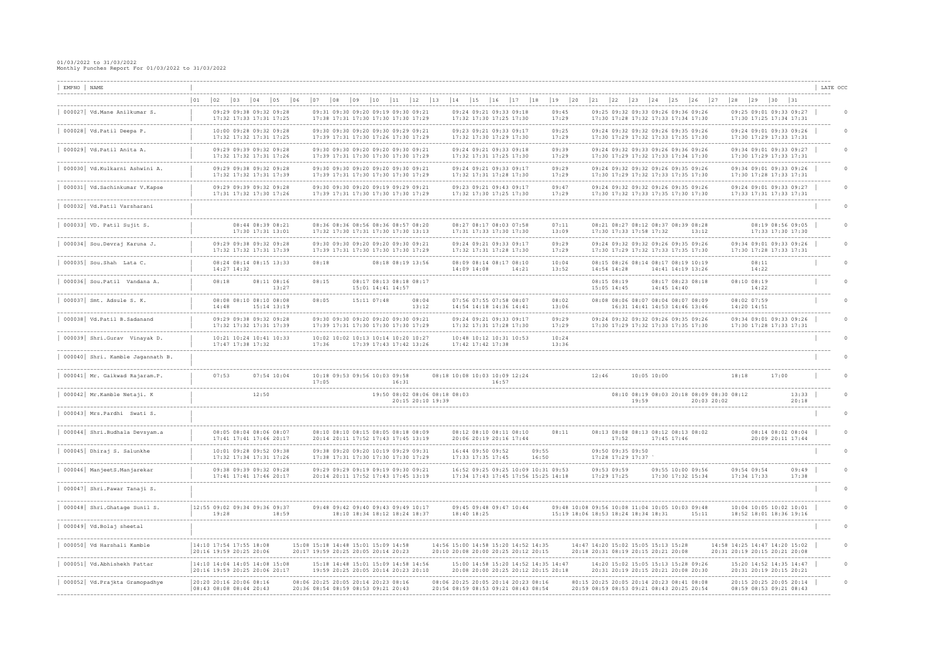| EMPNO NAME<br>------------------                              |              |                                                                 |              |                   |                                                         |    |                                                                            |                                      |              |                     |       |                                                                                                                      |    |                               |                                                    |       |                                                                            |                |                           |              |                            |                                                                                        |              |                 |             |                                        |                                                          |              |                            |       |                                                                                        | LATE OCC |
|---------------------------------------------------------------|--------------|-----------------------------------------------------------------|--------------|-------------------|---------------------------------------------------------|----|----------------------------------------------------------------------------|--------------------------------------|--------------|---------------------|-------|----------------------------------------------------------------------------------------------------------------------|----|-------------------------------|----------------------------------------------------|-------|----------------------------------------------------------------------------|----------------|---------------------------|--------------|----------------------------|----------------------------------------------------------------------------------------|--------------|-----------------|-------------|----------------------------------------|----------------------------------------------------------|--------------|----------------------------|-------|----------------------------------------------------------------------------------------|----------|
|                                                               | $ 01\rangle$ | $ 02\rangle$                                                    | $ 03\rangle$ | $ 04\rangle$      | $\vert$ 05                                              | 06 | 07                                                                         | $\begin{array}{c} 0 & 8 \end{array}$ | $ 09\rangle$ | 10                  | 11    | $ 12\rangle$                                                                                                         | 13 | 14                            | 15                                                 | 16    | $17$                                                                       | 18             | $ 19\rangle$              | $ 20\rangle$ | 21                         | $ 22\rangle$                                                                           | $ 23\rangle$ | 24              | 25          | $ 26\rangle$                           | 27                                                       | $ 28\rangle$ | 29 30 31                   |       |                                                                                        |          |
| -------------------------<br>000027 Vd. Mane Anilkumar S.     |              |                                                                 |              |                   | 09:29 09:38 09:32 09:28<br>17:32 17:33 17:31 17:25      |    |                                                                            |                                      |              |                     |       | 09:31 09:30 09:20 09:19 09:30 09:21<br>17:38 17:31 17:30 17:30 17:30 17:29                                           |    |                               | 09:24 09:21 09:33 09:18<br>17:32 17:30 17:25 17:30 |       |                                                                            |                | 09:45<br>17:29            |              |                            | 09:25 09:32 09:33 09:26 09:36 09:26<br>17:30 17:28 17:32 17:33 17:34 17:30             |              |                 |             |                                        |                                                          |              |                            |       | 09:25 09:01 09:33 09:27<br>17:30 17:25 17:34 17:31                                     |          |
| 000028 Vd.Patil Deepa P.                                      |              |                                                                 |              |                   | 10:00 09:28 09:32 09:28<br>17:32 17:32 17:31 17:25      |    |                                                                            |                                      |              | ___________________ |       | 09:30 09:30 09:20 09:30 09:29 09:21<br>17:39 17:31 17:30 17:26 17:30 17:29                                           |    |                               | 09:23 09:21 09:33 09:17<br>17:32 17:30 17:29 17:30 |       |                                                                            |                | 09:25<br>17:29            |              |                            | 09:24 09:32 09:32 09:26 09:35 09:26<br>17:30 17:29 17:32 17:33 17:35 17:30             |              |                 |             |                                        |                                                          |              |                            |       | 09:24 09:01 09:33 09:26<br>17:30 17:29 17:33 17:31                                     |          |
| 000029  Vd.Patil Anita A.                                     |              |                                                                 |              |                   | 09:29 09:39 09:32 09:28<br>17:32 17:32 17:31 17:26      |    |                                                                            |                                      |              |                     |       | 09:30 09:30 09:20 09:20 09:30 09:21<br>17:39 17:31 17:30 17:30 17:30 17:29                                           |    |                               | 09:24 09:21 09:33 09:18<br>17:32 17:31 17:25 17:30 |       | --------------------------                                                 |                | -------<br>09:39<br>17:29 |              |                            | 09:24 09:32 09:33 09:26 09:36 09:26<br>17:30 17:29 17:32 17:33 17:34 17:30             |              |                 |             |                                        |                                                          |              |                            |       | --------------------------------<br>09:34 09:01 09:33 09:27<br>17:30 17:29 17:33 17:31 |          |
| 000030   Vd.Kulkarni Ashwini A.                               |              |                                                                 |              |                   | 09:29 09:38 09:32 09:28<br>17:32 17:32 17:31 17:39      |    |                                                                            |                                      |              |                     |       | 09:30 09:30 09:20 09:20 09:30 09:21<br>17:39 17:31 17:30 17:30 17:30 17:29                                           |    |                               | 09:24 09:21 09:33 09:17<br>17:32 17:31 17:28 17:30 |       |                                                                            |                | 09:29<br>17:29            |              |                            | 09:24 09:32 09:32 09:26 09:35 09:26<br>17:30 17:29 17:32 17:33 17:35 17:30             |              |                 |             |                                        |                                                          |              |                            |       | 09:34 09:01 09:33 09:26<br>17:30 17:28 17:33 17:31                                     |          |
| 000031 Vd.Sachinkumar V.Kapse                                 |              |                                                                 |              |                   | 09:29 09:39 09:32 09:28<br>17:31 17:32 17:30 17:26      |    |                                                                            |                                      |              |                     |       | --------------------------------------<br>09:30 09:30 09:20 09:19 09:29 09:21<br>17:39 17:31 17:30 17:30 17:30 17:29 |    |                               | 09:23 09:21 09:43 09:17<br>17:32 17:30 17:25 17:30 |       |                                                                            |                | 09:47<br>17:29            |              |                            | 09:24 09:32 09:32 09:26 09:35 09:26<br>17:30 17:32 17:33 17:35 17:30 17:30             |              |                 |             |                                        |                                                          |              |                            |       | 09:24 09:01 09:33 09:27<br>17:33 17:31 17:33 17:31                                     |          |
| 000032 Vd. Patil Varsharani                                   |              |                                                                 |              |                   |                                                         |    |                                                                            |                                      |              |                     |       |                                                                                                                      |    |                               |                                                    |       |                                                                            |                |                           |              |                            |                                                                                        |              |                 |             |                                        |                                                          |              |                            |       |                                                                                        |          |
| $000033$ VD. Patil Sujit S.                                   |              |                                                                 |              |                   | 08:44 08:39 08:21<br>17:30 17:31 13:01                  |    |                                                                            |                                      |              |                     |       | 08:36 08:36 08:56 08:36 08:57 08:20<br>17:32 17:30 17:31 17:30 17:30 13:13                                           |    |                               | 08:27 08:17 08:03 07:58<br>17:31 17:33 17:30 17:30 |       |                                                                            |                | 07:11<br>13:09            |              |                            | 08:21 08:27 08:12 08:37 08:39 08:28<br>17:30 17:33 17:58 17:32                         |              |                 |             | 13:12                                  |                                                          |              |                            |       | 08:19 08:56 09:05<br>17:33 17:30 17:30                                                 |          |
| 000034 Sou.Devraj Karuna J.                                   |              |                                                                 |              |                   | 09:29 09:38 09:32 09:28<br>17:32 17:32 17:31 17:39      |    |                                                                            |                                      |              |                     |       | -------------------------------------<br>09:30 09:30 09:20 09:20 09:30 09:21<br>17:39 17:31 17:30 17:30 17:30 17:29  |    |                               | 09:24 09:21 09:33 09:17<br>17:32 17:31 17:28 17:30 |       |                                                                            |                | 09:29<br>17:29            |              |                            | 09:24 09:32 09:32 09:26 09:35 09:26<br>17:30 17:29 17:32 17:33 17:35 17:30             |              |                 |             |                                        |                                                          |              |                            |       | 09:34 09:01 09:33 09:26<br>17:30 17:28 17:33 17:31                                     |          |
| $000035$ Sou. Shah Lata C.                                    |              |                                                                 | 14:27 14:32  |                   | 08:24 08:14 08:15 13:33                                 |    | 08:18                                                                      |                                      |              |                     |       | 08:18 08:19 13:56                                                                                                    |    |                               | 08:09 08:14 08:17 08:10<br>14:09 14:08             |       | 14:21                                                                      |                | 10:04<br>13:52            |              |                            | 08:15 08:26 08:14 08:17 08:19 10:19<br>14:54 14:28                                     |              |                 |             | 14:41 14:19 13:26                      |                                                          |              | 08:11<br>14:22             |       |                                                                                        |          |
| 000036 Sou. Patil Vandana A.                                  |              | 08:18                                                           |              |                   | 08:11 08:16<br>13:27                                    |    | 08:15                                                                      |                                      |              | 15:01 14:41 14:57   |       | 08:17 08:13 08:18 08:17                                                                                              |    |                               |                                                    |       |                                                                            |                |                           |              | 08:15 08:19                | 15:05 14:45                                                                            |              |                 | 14:45 14:40 | 08:17 08:23 08:18                      |                                                          |              | 08:10 08:19<br>14:22       |       |                                                                                        |          |
| $000037$ Smt. Adsule S. K.                                    |              | 14:48                                                           |              |                   | 08:08 08:10 08:10 08:08<br>15:14 13:19                  |    | 08:05                                                                      |                                      |              | 15:11 07:48         |       | 08:04<br>13:12                                                                                                       |    |                               | 07:56 07:55 07:58 08:07<br>14:54 14:18 14:36 14:41 |       |                                                                            |                | 08:02<br>13:06            |              |                            | 08:08 08:06 08:07 08:04 08:07 08:09<br>16:31 14:41 14:53 14:46 13:46                   |              |                 |             |                                        |                                                          |              | 08:02 07:59<br>14:20 14:51 |       |                                                                                        |          |
| 000038 Vd.Patil B.Sadanand                                    |              |                                                                 |              |                   | 09:29 09:38 09:32 09:28<br>17:32 17:32 17:31 17:39      |    |                                                                            |                                      |              |                     |       | 09:30 09:30 09:20 09:20 09:30 09:21<br>17:39 17:31 17:30 17:30 17:30 17:29                                           |    |                               | 09:24 09:21 09:33 09:17<br>17:32 17:31 17:28 17:30 |       |                                                                            |                | 09:29<br>17:29            |              |                            | 09:24 09:32 09:32 09:26 09:35 09:26<br>17:30 17:29 17:32 17:33 17:35 17:30             |              |                 |             |                                        |                                                          |              |                            |       | 09:34 09:01 09:33 09:26<br>17:30 17:28 17:33 17:31                                     |          |
| -----------------------------<br>000039 Shri.Gurav Vinayak D. |              |                                                                 |              | 17:47 17:38 17:32 | ----------------------------<br>10:21 10:24 10:41 10:33 |    | 17:36                                                                      | -------------------------------      |              |                     |       | 10:02 10:02 10:13 10:14 10:20 10:27<br>17:39 17:43 17:42 13:26                                                       |    |                               | 10:48 10:12 10:31 10:53<br>17:42 17:42 17:38       |       |                                                                            |                | 10:24<br>13:36            |              |                            |                                                                                        |              |                 |             |                                        |                                                          |              |                            |       |                                                                                        |          |
| 000040 Shri. Kamble Jagannath B.                              |              |                                                                 |              |                   |                                                         |    |                                                                            |                                      |              |                     |       |                                                                                                                      |    |                               |                                                    |       |                                                                            |                |                           |              |                            |                                                                                        |              |                 |             |                                        |                                                          |              |                            |       |                                                                                        |          |
| ----------------------------<br>000041 Mr. Gaikwad Rajaram.P. |              | 07:53                                                           |              |                   | $07:54$ 10:04                                           |    | 17:05                                                                      | 10:18 09:53 09:56 10:03 09:58        |              |                     | 16:31 |                                                                                                                      |    | 08:18 10:08 10:03 10:09 12:24 |                                                    | 16:57 |                                                                            |                |                           |              | 12:46                      |                                                                                        |              | $10:05$ $10:00$ |             |                                        |                                                          | 18:18        |                            | 17:00 |                                                                                        |          |
| 000042 Mr. Kamble Netaji. K                                   |              |                                                                 |              | 12:50             |                                                         |    |                                                                            |                                      |              |                     |       | 19:50 08:02 08:06 08:18 08:03<br>20:15 20:10 19:39                                                                   |    |                               |                                                    |       |                                                                            |                |                           |              |                            |                                                                                        | 19:59        |                 |             |                                        | 08:10 08:19 08:03 20:18 08:09 08:30 08:12<br>20:03 20:02 |              |                            |       | 13:33<br>20:18                                                                         |          |
| -----------------------<br>000043 Mrs. Pardhi Swati S.        |              |                                                                 |              |                   |                                                         |    |                                                                            |                                      |              |                     |       |                                                                                                                      |    |                               |                                                    |       |                                                                            |                |                           |              |                            |                                                                                        |              |                 |             |                                        |                                                          |              |                            |       |                                                                                        |          |
| 000044  Shri.Budhala Devsyam.a                                |              |                                                                 |              |                   | U8:U5 U8:U4 U8:U6 U8:U.<br>17:41 17:41 17:46 20:17      |    |                                                                            |                                      |              |                     |       | 08:10 08:10 08:15 08:05 08:18 08:09<br>20:14 20:11 17:52 17:43 17:45 13:19                                           |    |                               | 08:17 08:10 08:11 08:10<br>20:06 20:19 20:16 17:44 |       |                                                                            |                |                           |              |                            | 70:30 108:08 108:13 108:12 108:13 108:02<br>17:52                                      |              |                 | 17:45 17:46 |                                        |                                                          |              |                            |       | 08:14 08:02 08:04<br>20:09 20:11 17:44                                                 |          |
| 000045 Dhiraj S. Salunkhe                                     |              |                                                                 |              |                   | 10:01 09:28 09:52 09:38<br>17:32 17:34 17:31 17:26      |    |                                                                            |                                      |              |                     |       | ---------------------------<br>09:38 09:20 09:20 10:19 09:29 09:31<br>17:38 17:31 17:30 17:30 17:30 17:29            |    |                               | 16:44 09:50 09:52<br>17:33 17:35 17:45             |       |                                                                            | 09:55<br>16:50 |                           |              |                            | 09:50 09:35 09:50<br>17:28 17:29 17:37                                                 |              |                 |             |                                        |                                                          |              |                            |       |                                                                                        |          |
| 000046   ManjeetS.Manjarekar                                  |              |                                                                 |              |                   | 09:38 09:39 09:32 09:28<br>17:41 17:41 17:46 20:17      |    |                                                                            |                                      |              |                     |       | 09:29 09:29 09:19 09:19 09:30 09:21<br>20:14 20:11 17:52 17:43 17:45 13:19                                           |    |                               |                                                    |       | 16:52 09:25 09:25 10:09 10:31 09:53<br>17:34 17:43 17:45 17:56 15:25 14:18 |                |                           |              | 09:53 09:59<br>17:29 17:25 |                                                                                        |              |                 |             | 09:55 10:00 09:56<br>17:30 17:32 15:34 |                                                          |              | 09:54 09:54<br>17:34 17:33 |       | 09:49<br>17:38                                                                         |          |
| 000047 Shri. Pawar Tanaji S.                                  |              |                                                                 |              |                   |                                                         |    |                                                                            |                                      |              |                     |       |                                                                                                                      |    |                               |                                                    |       |                                                                            |                |                           |              |                            |                                                                                        |              |                 |             |                                        |                                                          |              |                            |       |                                                                                        |          |
| 000048 Shri.Ghatage Sunil S.                                  |              | 12:55 09:02 09:34 09:36 09:37<br>19:28                          |              |                   | 18:59                                                   |    |                                                                            |                                      |              |                     |       | 09:48 09:42 09:40 09:43 09:49 10:17<br>18:10 18:34 18:12 18:24 18:37                                                 |    |                               | 09:45 09:48 09:47 10:44<br>18:40 18:25             |       |                                                                            |                |                           |              |                            | 09:48 10:08 09:56 10:08 11:04 10:05 10:03 09:48<br>15:19 18:06 18:53 18:24 18:34 18:31 |              |                 |             | 15:11                                  |                                                          |              |                            |       | 10:04 10:05 10:02 10:01<br>18:52 18:01 18:36 19:16                                     |          |
| 000049 Vd. Bolaj sheetal                                      |              |                                                                 |              |                   |                                                         |    |                                                                            |                                      |              |                     |       |                                                                                                                      |    |                               |                                                    |       |                                                                            |                |                           |              |                            |                                                                                        |              |                 |             |                                        |                                                          |              |                            |       |                                                                                        |          |
| 000050   Vd Harshali Kamble                                   |              | 14:10 17:54 17:55 18:08<br>20:16 19:59 20:25 20:06              |              |                   |                                                         |    | 15:08 15:18 14:48 15:01 15:09 14:58<br>20:17 19:59 20:25 20:05 20:14 20:23 |                                      |              |                     |       |                                                                                                                      |    |                               |                                                    |       | 14:56 15:00 14:58 15:20 14:52 14:35<br>20:10 20:08 20:00 20:25 20:12 20:15 |                |                           |              |                            | 14:47 14:20 15:02 15:05 15:13 15:28<br>20:18 20:31 08:19 20:15 20:21 20:08             |              |                 |             |                                        |                                                          |              |                            |       | 14:58 14:25 14:47 14:20 15:02<br>20:31 20:19 20:15 20:21 20:08                         |          |
| 000051   Vd. Abhishekh Pattar                                 |              | 14:10 14:04 14:05 14:08 15:08<br> 20:16 19:59 20:25 20:06 20:17 |              |                   |                                                         |    |                                                                            |                                      |              |                     |       | 15:18 14:48 15:01 15:09 14:58 14:56<br>19:59 20:25 20:05 20:14 20:23 20:10                                           |    |                               |                                                    |       | 15:00 14:58 15:20 14:52 14:35 14:47<br>20:08 20:00 20:25 20:12 20:15 20:18 |                |                           |              |                            | 14:20 15:02 15:05 15:13 15:28 09:26<br>20:31 20:19 20:15 20:21 20:08 20:30             |              |                 |             |                                        |                                                          |              |                            |       | 15:20 14:52 14:35 14:47<br>20:31 20:19 20:15 20:21                                     |          |
| 000052   Vd. Prajkta Gramopadhye                              |              | 20:20 20:16 20:06 08:16<br>08:43 08:08 08:44 20:43              |              |                   |                                                         |    | 08:06 20:25 20:05 20:14 20:23 08:16<br>20:36 08:54 08:59 08:53 09:21 20:43 |                                      |              |                     |       |                                                                                                                      |    |                               |                                                    |       | 08:06 20:25 20:05 20:14 20:23 08:16<br>20:54 08:59 08:53 09:21 08:43 08:54 |                |                           |              |                            | 80:15 20:25 20:05 20:14 20:23 08:41 08:08<br>20:59 08:59 08:53 09:21 08:43 20:25 20:54 |              |                 |             |                                        |                                                          |              |                            |       | 20:15 20:25 20:05 20:14<br>08:59 08:53 09:21 08:43                                     |          |
|                                                               |              |                                                                 |              |                   |                                                         |    |                                                                            |                                      |              |                     |       |                                                                                                                      |    |                               |                                                    |       |                                                                            |                |                           |              |                            |                                                                                        |              |                 |             |                                        |                                                          |              |                            |       |                                                                                        |          |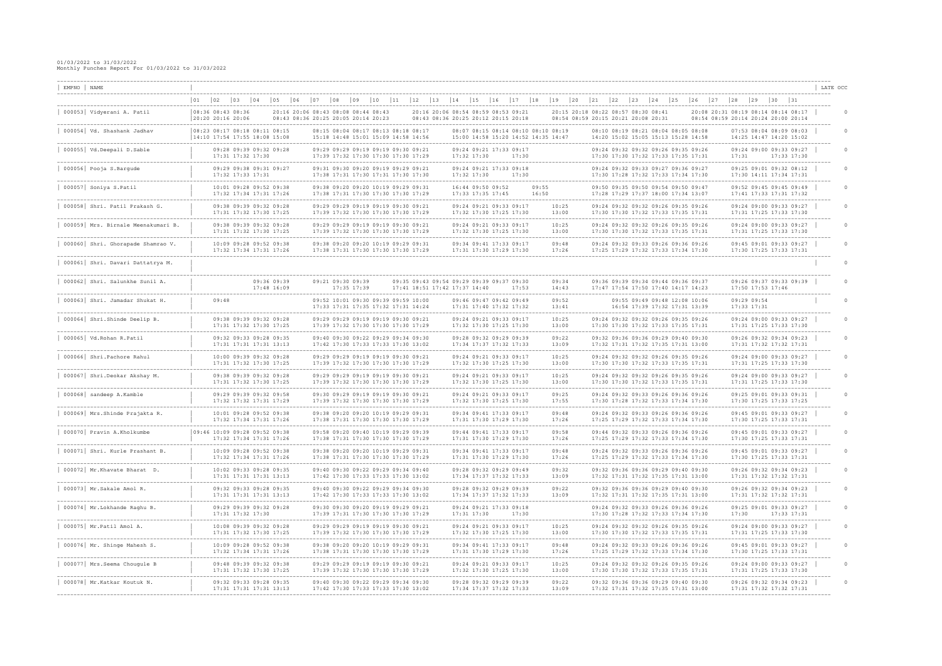| EMPNO   NAME |                                                                     |    |                                        |              |                                                                                    |                            |                                                                            |             |                                      |              |                        |    |                                                                                                            |    |                                                                            |              |                                        |    |                                                    |                |                                                                            |              |    |    |              |                                                                                                                     |                                           |              |                                   |              |                            |             |                                                                                            | LATE OCC |
|--------------|---------------------------------------------------------------------|----|----------------------------------------|--------------|------------------------------------------------------------------------------------|----------------------------|----------------------------------------------------------------------------|-------------|--------------------------------------|--------------|------------------------|----|------------------------------------------------------------------------------------------------------------|----|----------------------------------------------------------------------------|--------------|----------------------------------------|----|----------------------------------------------------|----------------|----------------------------------------------------------------------------|--------------|----|----|--------------|---------------------------------------------------------------------------------------------------------------------|-------------------------------------------|--------------|-----------------------------------|--------------|----------------------------|-------------|--------------------------------------------------------------------------------------------|----------|
|              | -----------------------                                             | 01 | $ 02\rangle$                           | $ 03\rangle$ | $ 04\rangle$                                                                       | $ 05\rangle$               | $ 06\rangle$                                                               | $\sqrt{07}$ | $\begin{array}{c} 0 & 8 \end{array}$ | $ 09\rangle$ | 10                     | 11 | 12                                                                                                         | 13 | 14                                                                         | $ 15\rangle$ |                                        | 16 | 17                                                 | 18             | $19$                                                                       | $ 20\rangle$ | 21 | 22 | $ 23\rangle$ | $\vert$ 24                                                                                                          | $\begin{array}{c} \boxed{25} \end{array}$ | $ 26\rangle$ | $\begin{array}{c} 27 \end{array}$ | $ 28\rangle$ | $ 29\rangle$               | $ 30 \t 31$ |                                                                                            |          |
|              | 000053   Vidyerani A. Patil                                         |    | 08:36 08:43 08:36<br>20:20 20:16 20:06 |              |                                                                                    |                            | 20:16 20:06 08:43 08:08 08:44 08:43<br>08:43 08:36 20:25 20:05 20:14 20:23 |             |                                      |              |                        |    |                                                                                                            |    | 20:16 20:06 08:54 08:59 08:53 09:21<br>08:43 08:36 20:25 20:12 20:15 20:18 |              |                                        |    |                                                    |                |                                                                            |              |    |    |              | 20:15 20:18 08:22 08:57 08:30 08:41<br>08:54 08:59 20:15 20:21 20:08 20:31                                          |                                           |              |                                   |              |                            |             | 20:08 20:31 08:19 08:14 08:14 08:17<br>08:54 08:59 20:14 20:24 20:00 20:14                 |          |
|              | 000054 Vd. Shashank Jadhav                                          |    |                                        |              | 08:23 08:17 08:18 08:11 08:15<br>$14:10$ 17:54 17:55 18:08 15:08                   |                            |                                                                            |             |                                      |              |                        |    | 08:15 08:04 08:17 08:13 08:18 08:17<br>15:18 14:48 15:01 15:09 14:58 14:56                                 |    |                                                                            |              |                                        |    |                                                    |                | 08:07 08:15 08:14 08:10 08:10 08:19<br>15:00 14:58 15:20 14:52 14:35 14:47 |              |    |    |              | 08:10 08:19 08:21 08:04 08:05 08:08<br>14:20 15:02 15:05 15:13 15:28 14:58                                          |                                           |              |                                   |              |                            |             | 07:53 08:04 08:09 08:03<br>14:25 14:47 14:20 15:02                                         |          |
|              | 000055   Vd.Deepali D.Sable                                         |    |                                        |              | 09:28 09:39 09:32 09:28<br>17:31 17:32 17:30                                       |                            |                                                                            |             |                                      |              |                        |    | 09:29 09:29 09:19 09:19 09:30 09:21<br>17:39 17:32 17:30 17:30 17:30 17:29                                 |    |                                                                            |              | $17:32$ $17:30$                        |    | 09:24 09:21 17:33 09:17<br>17:30                   |                |                                                                            |              |    |    |              | 09:24 09:32 09:32 09:26 09:35 09:26<br>17:30 17:30 17:32 17:33 17:35 17:31                                          |                                           |              |                                   | 17:31        |                            |             | 09:24 09:00 09:33 09:27<br>17:33 17:30                                                     |          |
|              | 000056 Pooja S.Barqude                                              |    |                                        |              | 09:29 09:38 09:31 09:27<br>17:32 17:33 17:31                                       |                            |                                                                            |             |                                      |              |                        |    | 09:31 09:30 09:20 09:19 09:29 09:21<br>17:38 17:31 17:30 17:31 17:30 17:30                                 |    |                                                                            |              | $17:32$ $17:30$                        |    | 09:24 09:21 17:33 09:18<br>17:30                   |                |                                                                            |              |    |    |              | 09:24 09:32 09:33 09:27 09:36 09:27<br>17:30 17:28 17:32 17:33 17:34 17:30                                          |                                           |              |                                   |              |                            |             | 09:25 09:01 09:32 08:12<br>17:30 14:11 17:34 17:31                                         |          |
|              | 000057 Soniya S.Patil                                               |    |                                        |              | 10:01 09:28 09:52 09:38<br>17:32 17:34 17:31 17:26                                 |                            |                                                                            |             |                                      |              |                        |    | 09:38 09:20 09:20 10:19 09:29 09:31<br>17:38 17:31 17:30 17:30 17:30 17:29                                 |    |                                                                            |              | 16:44 09:50 09:52<br>17:33 17:35 17:45 |    |                                                    | 09:55<br>16:50 |                                                                            |              |    |    |              | 09:50 09:35 09:50 09:54 09:50 09:47<br>17:28 17:29 17:37 18:00 17:34 13:07                                          |                                           |              |                                   |              |                            |             | 09:52 09:45 09:45 09:49<br>17:41 17:33 17:31 17:32                                         |          |
|              | 000058 Shri. Patil Prakash G.                                       |    |                                        |              | 09:38 09:39 09:32 09:28<br>17:31 17:32 17:30 17:25                                 |                            |                                                                            |             |                                      |              | -------------------    |    | 09:29 09:29 09:19 09:19 09:30 09:21<br>17:39 17:32 17:30 17:30 17:30 17:29                                 |    |                                                                            |              |                                        |    | 09:24 09:21 09:33 09:17<br>17:32 17:30 17:25 17:30 |                | 10:25<br>13:00                                                             |              |    |    |              | ------------------<br>09:24 09:32 09:32 09:26 09:35 09:26<br>17:30 17:30 17:32 17:33 17:35 17:31                    |                                           |              |                                   |              |                            |             | 09:24 09:00 09:33 09:27<br>17:31 17:25 17:33 17:30                                         |          |
|              | 000059 Mrs. Birnale Meenakumari B.                                  |    |                                        |              | 09:38 09:39 09:32 09:28<br>17:31 17:32 17:30 17:25                                 |                            |                                                                            |             |                                      |              | ---------------------- |    | 09:29 09:29 09:19 09:19 09:30 09:21<br>17:39 17:32 17:30 17:30 17:30 17:29                                 |    |                                                                            |              |                                        |    | 09:24 09:21 09:33 09:17<br>17:32 17:30 17:25 17:30 |                | 10:25<br>13:00                                                             |              |    |    |              | 09:24 09:32 09:32 09:26 09:35 09:26<br>17:30 17:30 17:32 17:33 17:35 17:31                                          |                                           |              |                                   |              |                            |             | ------------------------------<br>09:24 09:00 09:33 09:27<br>17:31 17:25 17:33 17:30       |          |
|              | 000060 Shri. Ghorapade Shamrao V.                                   |    |                                        |              | --------------------------<br>10:09 09:28 09:52 09:38<br>17:32 17:34 17:31 17:26   |                            |                                                                            |             | _________________________________    |              |                        |    | 09:38 09:20 09:20 10:19 09:29 09:31<br>17:38 17:31 17:30 17:30 17:30 17:29                                 |    |                                                                            |              |                                        |    | 09:34 09:41 17:33 09:17<br>17:31 17:30 17:29 17:30 |                | .<br>09:48<br>17:26                                                        |              |    |    |              | -----------------------<br>09:24 09:32 09:33 09:26 09:36 09:26<br>17:25 17:29 17:32 17:33 17:34 17:30               |                                           |              |                                   |              |                            |             | -----------------------------<br>09:45 09:01 09:33 09:27<br>17:30 17:25 17:33 17:31        |          |
|              | 000061 Shri. Davari Dattatrya M.                                    |    |                                        |              |                                                                                    |                            |                                                                            |             |                                      |              |                        |    |                                                                                                            |    |                                                                            |              |                                        |    |                                                    |                |                                                                            |              |    |    |              |                                                                                                                     |                                           |              |                                   |              |                            |             | ___________________________________                                                        |          |
|              | ---------------------------------<br>000062 Shri. Salunkhe Sunil A. |    |                                        |              |                                                                                    | 09:36 09:39<br>17:48 16:09 |                                                                            |             | 09:21 09:30 09:39                    | 17:35 17:39  |                        |    |                                                                                                            |    | 09:35 09:43 09:54 09:29 09:39 09:37 09:30<br>17:41 18:51 17:42 17:37 14:40 |              |                                        |    | 17:53                                              |                | -------<br>09:34<br>14:43                                                  |              |    |    |              | -------------------------------------<br>09:36 09:39 09:34 09:44 09:36 09:37<br>17:47 17:54 17:50 17:40 14:17 14:23 |                                           |              |                                   |              | 17:50 17:53 17:46          |             | 09:26 09:37 09:33 09:39                                                                    |          |
|              | _________________________<br>000063 Shri. Jamadar Shukat H.         |    | 09:48                                  |              |                                                                                    |                            |                                                                            |             |                                      |              |                        |    | 09:52 10:01 09:30 09:39 09:59 10:00<br>17:33 17:31 17:35 17:32 17:31 14:24                                 |    |                                                                            |              |                                        |    | 09:46 09:47 09:42 09:49<br>17:31 17:40 17:32 17:32 |                | 09:52<br>13:41                                                             |              |    |    |              | 09:55 09:49 09:48 12:08 10:06<br>16:54 17:39 17:32 17:31 13:39                                                      |                                           |              |                                   |              | 09:29 09:54<br>17:33 17:31 |             |                                                                                            |          |
|              | 000064 Shri. Shinde Deelip B.                                       |    |                                        |              | 09:38 09:39 09:32 09:28<br>17:31 17:32 17:30 17:25                                 |                            |                                                                            |             |                                      |              |                        |    | 09:29 09:29 09:19 09:19 09:30 09:21<br>17:39 17:32 17:30 17:30 17:30 17:29                                 |    | ------------------------------                                             |              |                                        |    | 09:24 09:21 09:33 09:17<br>17:32 17:30 17:25 17:30 |                | 10:25<br>13:00                                                             |              |    |    |              | 09:24 09:32 09:32 09:26 09:35 09:26<br>17:30 17:30 17:32 17:33 17:35 17:31                                          |                                           |              |                                   |              |                            |             | -------------------------------<br>09:24 09:00 09:33 09:27<br>17:31 17:25 17:33 17:30      |          |
|              | 000065 Vd. Rohan R. Patil                                           |    |                                        |              | 09:32 09:33 09:28 09:35<br>17:31 17:31 17:31 13:13                                 |                            |                                                                            |             |                                      |              | ---------------------  |    | 09:40 09:30 09:22 09:29 09:34 09:30<br>17:42 17:30 17:33 17:33 17:30 13:02                                 |    |                                                                            |              |                                        |    | 09:28 09:32 09:29 09:39<br>17:34 17:37 17:32 17:33 |                | 09:22<br>13:09                                                             |              |    |    |              | 09:32 09:36 09:36 09:29 09:40 09:30<br>17:32 17:31 17:32 17:35 17:31 13:00                                          |                                           |              |                                   |              |                            |             | 09:26 09:32 09:34 09:23<br>17:31 17:32 17:32 17:31                                         |          |
|              | 000066 Shri. Pachore Rahul                                          |    |                                        |              | 10:00 09:39 09:32 09:28<br>17:31 17:32 17:30 17:25                                 |                            |                                                                            |             |                                      |              | --------------------   |    | 09:29 09:29 09:19 09:19 09:30 09:21<br>17:39 17:32 17:30 17:30 17:30 17:29                                 |    |                                                                            |              |                                        |    | 09:24 09:21 09:33 09:17<br>17:32 17:30 17:25 17:30 |                | 10:25<br>13:00                                                             |              |    |    |              | ---------------------<br>09:24 09:32 09:32 09:26 09:35 09:26<br>17:30 17:30 17:32 17:33 17:35 17:31                 |                                           |              |                                   |              |                            |             | 09:24 09:00 09:33 09:27<br>17:31 17:25 17:33 17:30                                         |          |
|              | 000067 Shri.Deokar Akshay M.                                        |    |                                        |              | ----------------------------<br>09:38 09:39 09:32 09:28<br>17:31 17:32 17:30 17:25 |                            |                                                                            |             |                                      |              |                        |    | 09:29 09:29 09:19 09:19 09:30 09:21<br>17:39 17:32 17:30 17:30 17:30 17:29                                 |    | --------------------------------                                           |              |                                        |    | 09:24 09:21 09:33 09:17<br>17:32 17:30 17:25 17:30 |                | -------<br>10:25<br>13:00                                                  |              |    |    |              | 09:24 09:32 09:32 09:26 09:35 09:26<br>17:30 17:30 17:32 17:33 17:35 17:31                                          |                                           |              |                                   |              |                            |             | ____________________________________<br>09:24 09:00 09:33 09:27<br>17:31 17:25 17:33 17:30 |          |
|              | 000068 sandeep A.Kamble                                             |    |                                        |              | 09:29 09:39 09:32 09:58<br>17:32 17:32 17:31 17:29                                 |                            |                                                                            |             |                                      |              |                        |    | 09:30 09:29 09:19 09:19 09:30 09:21<br>17:39 17:32 17:30 17:30 17:30 17:29                                 |    |                                                                            |              |                                        |    | 09:24 09:21 09:33 09:17<br>17:32 17:30 17:25 17:30 |                | 09:25<br>17:55                                                             |              |    |    |              | 09:24 09:32 09:33 09:26 09:36 09:26<br>17:30 17:28 17:32 17:33 17:34 17:30                                          |                                           |              |                                   |              |                            |             | -----------------------<br>09:25 09:01 09:33 09:31<br>17:30 17:25 17:33 17:25              |          |
|              | 000069 Mrs. Shinde Prajakta R.                                      |    |                                        |              | 10:01 09:28 09:52 09:38<br>17:32 17:34 17:31 17:26                                 |                            |                                                                            |             |                                      |              |                        |    | 09:38 09:20 09:20 10:19 09:29 09:31<br>17:38 17:31 17:30 17:30 17:30 17:29                                 |    | --------------------------------                                           |              |                                        |    | 09:34 09:41 17:33 09:17<br>17:31 17:30 17:29 17:30 |                | -------<br>09:48<br>17:26                                                  |              |    |    |              | 09:24 09:32 09:33 09:26 09:36 09:26<br>17:25 17:29 17:32 17:33 17:34 17:30                                          |                                           |              |                                   |              |                            |             | --------------------------------<br>09:45 09:01 09:33 09:27<br>17:30 17:25 17:33 17:31     |          |
|              | 000070 Pravin A.Kholkumbe                                           |    |                                        |              | 09:46 10:09 09:28 09:52 09:38<br>17:32 17:34 17:31 17:26                           |                            |                                                                            |             |                                      |              |                        |    | 09:58 09:20 09:40 10:19 09:29 09:39<br>17:38 17:31 17:30 17:30 17:30 17:29                                 |    |                                                                            |              |                                        |    | 09:44 09:41 17:33 09:17<br>17:31 17:30 17:29 17:30 |                | 09:58<br>17:26                                                             |              |    |    |              | 09:44 09:32 09:33 09:26 09:36 09:26<br>17:25 17:29 17:32 17:33 17:34 17:30                                          |                                           |              |                                   |              |                            |             | 09:45 09:01 09:33 09:27<br>17:30 17:25 17:33 17:31                                         |          |
|              | 000071 Shri. Kurle Prashant B.                                      |    |                                        |              | 10:09 09:28 09:52 09:38<br>17:32 17:34 17:31 17:26                                 |                            |                                                                            |             |                                      |              |                        |    | ----------------------------<br>09:38 09:20 09:20 10:19 09:29 09:31<br>17:38 17:31 17:30 17:30 17:30 17:29 |    |                                                                            |              |                                        |    | 09:34 09:41 17:33 09:17<br>17:31 17:30 17:29 17:30 |                | 09:48<br>17:26                                                             |              |    |    |              | 09:24 09:32 09:33 09:26 09:36 09:26<br>17:25 17:29 17:32 17:33 17:34 17:30                                          |                                           |              |                                   |              |                            |             | -------------------------------<br>09:45 09:01 09:33 09:27<br>17:30 17:25 17:33 17:31      |          |
|              | 000072 Mr.Khavate Bharat D.                                         |    |                                        |              | 10:02 09:33 09:28 09:35<br>17:31 17:31 17:31 13:13                                 |                            |                                                                            |             |                                      |              |                        |    | 09:40 09:30 09:22 09:29 09:34 09:40<br>17:42 17:30 17:33 17:33 17:30 13:02                                 |    |                                                                            |              |                                        |    | 09:28 09:32 09:29 09:49<br>17:34 17:37 17:32 17:33 |                | 09:32<br>13:09                                                             |              |    |    |              | 09:32 09:36 09:36 09:29 09:40 09:30<br>17:32 17:31 17:32 17:35 17:31 13:00                                          |                                           |              |                                   |              |                            |             | 09:26 09:32 09:34 09:23<br>17:31 17:32 17:32 17:31                                         |          |
|              | 000073   Mr.Sakale Amol R.                                          |    |                                        |              | 09:32 09:33 09:28 09:35<br>17:31 17:31 17:31 13:13                                 |                            |                                                                            |             |                                      |              |                        |    | 09:40 09:30 09:22 09:29 09:34 09:30<br>17:42 17:30 17:33 17:33 17:30 13:02                                 |    |                                                                            |              |                                        |    | 09:28 09:32 09:29 09:39<br>17:34 17:37 17:32 17:33 |                | 09:22<br>13:09                                                             |              |    |    |              | 09:32 09:36 09:36 09:29 09:40 09:30<br>17:32 17:31 17:32 17:35 17:31 13:00                                          |                                           |              |                                   |              |                            |             | 09:26 09:32 09:34 09:23<br>17:31 17:32 17:32 17:31                                         |          |
|              | 000074   Mr. Lokhande Raghu B.                                      |    |                                        |              | 09:29 09:39 09:32 09:28<br>17:31 17:32 17:30                                       |                            |                                                                            |             |                                      |              |                        |    | 09:30 09:30 09:20 09:19 09:29 09:21<br>17:39 17:31 17:30 17:30 17:30 17:29                                 |    |                                                                            |              | 17:31 17:30                            |    | 09:24 09:21 17:33 09:18<br>17:30                   |                |                                                                            |              |    |    |              | 09:24 09:32 09:33 09:26 09:36 09:26<br>17:30 17:28 17:32 17:33 17:34 17:30                                          |                                           |              |                                   | 17:30        |                            |             | 09:25 09:01 09:33 09:27<br>17:33 17:31                                                     |          |
|              | $000075$ Mr. Patil Amol A.                                          |    |                                        |              | 10:08 09:39 09:32 09:28<br>17:31 17:32 17:30 17:25                                 |                            |                                                                            |             |                                      |              |                        |    | 09:29 09:29 09:19 09:19 09:30 09:21<br>17:39 17:32 17:30 17:30 17:30 17:29                                 |    |                                                                            |              |                                        |    | 09:24 09:21 09:33 09:17<br>17:32 17:30 17:25 17:30 |                | 10:25<br>13:00                                                             |              |    |    |              | 09:24 09:32 09:32 09:26 09:35 09:26<br>17:30 17:30 17:32 17:33 17:35 17:31                                          |                                           |              |                                   |              |                            |             | 09:24 09:00 09:33 09:27<br>17:31 17:25 17:33 17:30                                         |          |
|              | 000076 Mr. Shinge Mahesh S.                                         |    |                                        |              | 10:09 09:28 09:52 09:38<br>17:32 17:34 17:31 17:26                                 |                            |                                                                            |             |                                      |              |                        |    | 09:38 09:20 09:20 10:19 09:29 09:31<br>17:38 17:31 17:30 17:30 17:30 17:29                                 |    |                                                                            |              |                                        |    | 09:34 09:41 17:33 09:17<br>17:31 17:30 17:29 17:30 |                | 09:48<br>17:26                                                             |              |    |    |              | 09:24 09:32 09:33 09:26 09:36 09:26<br>17:25 17:29 17:32 17:33 17:34 17:30                                          |                                           |              |                                   |              |                            |             | 09:45 09:01 09:33 09:27<br>17:30 17:25 17:33 17:31                                         |          |
|              | 000077   Mrs. Seema Chougule B                                      |    |                                        |              | 09:48 09:39 09:32 09:38<br>17:31 17:32 17:30 17:25                                 |                            |                                                                            |             |                                      |              |                        |    | 09:29 09:29 09:19 09:19 09:30 09:21<br>17:39 17:32 17:30 17:30 17:30 17:29                                 |    |                                                                            |              |                                        |    | 09:24 09:21 09:33 09:17<br>17:32 17:30 17:25 17:30 |                | 10:25<br>13:00                                                             |              |    |    |              | 09:24 09:32 09:32 09:26 09:35 09:26<br>17:30 17:30 17:32 17:33 17:35 17:31                                          |                                           |              |                                   |              |                            |             | 09:24 09:00 09:33 09:27<br>17:31 17:25 17:33 17:30                                         |          |
|              | 000078   Mr. Katkar Koutuk N.                                       |    |                                        |              | 09:32 09:33 09:28 09:35<br>17:31 17:31 17:31 13:13                                 |                            | ---------                                                                  |             |                                      |              |                        |    | 09:40 09:30 09:22 09:29 09:34 09:30<br>17:42 17:30 17:33 17:33 17:30 13:02                                 |    |                                                                            |              |                                        |    | 09:28 09:32 09:29 09:39<br>17:34 17:37 17:32 17:33 |                | --------<br>09:22<br>13:09                                                 |              |    |    |              | 09:32 09:36 09:36 09:29 09:40 09:30<br>17:32 17:31 17:32 17:35 17:31 13:00                                          |                                           |              |                                   |              |                            |             | -------------------------------<br>09:26 09:32 09:34 09:23<br>17:31 17:32 17:32 17:31      |          |
|              |                                                                     |    |                                        |              |                                                                                    |                            |                                                                            |             |                                      |              |                        |    |                                                                                                            |    |                                                                            |              |                                        |    |                                                    |                |                                                                            |              |    |    |              |                                                                                                                     |                                           |              |                                   |              |                            |             |                                                                                            |          |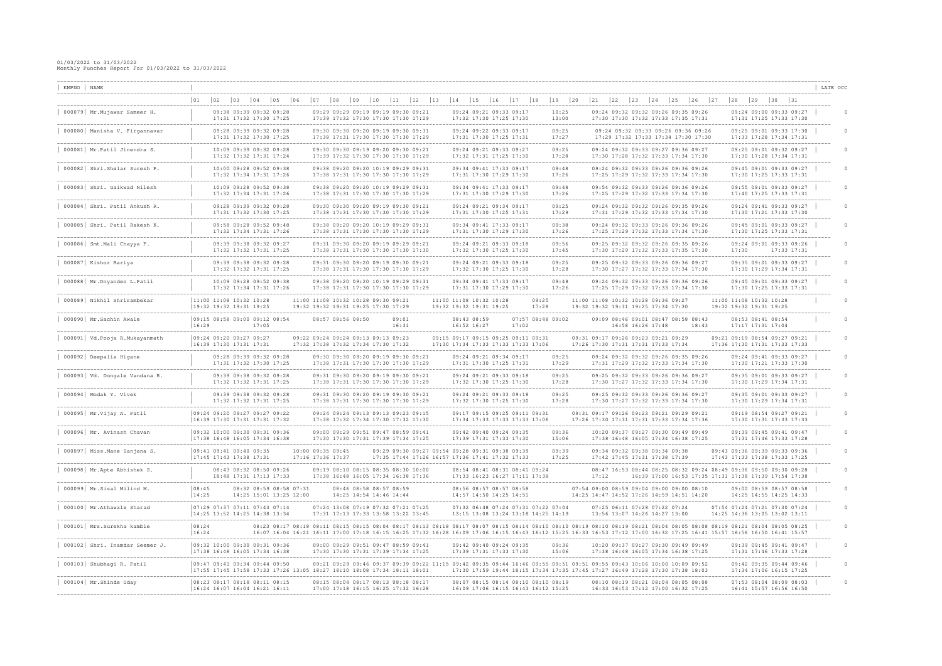| EMPNO NAME |                                                                       |                                                                   |                                                                                     |              |                                                    |                                                                                                                                                                                                                                                                                                                                                          |              |                                                    |                               |    |                                                                                                                         |    |              |                                                                |                |                                                                            |                                                                            |       |                                                                |                       |                                                                                        |       |                                                                                                                            |                                           | -------------------------------                                                       | LATE OCC |  |
|------------|-----------------------------------------------------------------------|-------------------------------------------------------------------|-------------------------------------------------------------------------------------|--------------|----------------------------------------------------|----------------------------------------------------------------------------------------------------------------------------------------------------------------------------------------------------------------------------------------------------------------------------------------------------------------------------------------------------------|--------------|----------------------------------------------------|-------------------------------|----|-------------------------------------------------------------------------------------------------------------------------|----|--------------|----------------------------------------------------------------|----------------|----------------------------------------------------------------------------|----------------------------------------------------------------------------|-------|----------------------------------------------------------------|-----------------------|----------------------------------------------------------------------------------------|-------|----------------------------------------------------------------------------------------------------------------------------|-------------------------------------------|---------------------------------------------------------------------------------------|----------|--|
|            |                                                                       | $ 02\rangle$<br>$ 01\rangle$                                      | $ 03\rangle$                                                                        | $ 04\rangle$ | $ 05\rangle$                                       | $\begin{array}{c} 0 & 8 \end{array}$<br>$ 06\rangle$<br>$ 07\rangle$                                                                                                                                                                                                                                                                                     | $ 09\rangle$ | 10                                                 | 11<br>12                      | 13 | $ 14\rangle$                                                                                                            | 15 | $ 16\rangle$ | 17                                                             | 18             | $19$                                                                       | 20                                                                         | 21    | $ 22\rangle$<br> 23                                            | 24                    | $\begin{array}{c} \boxed{25} \end{array}$<br> 26                                       | 27    | $\begin{array}{c} \boxed{28} \end{array}$                                                                                  | $\begin{array}{c} \boxed{29} \end{array}$ | $ 30 \t 31$                                                                           |          |  |
|            | 000079 Mr. Mujawar Sameer H.                                          |                                                                   | 09:38 09:39 09:32 09:28<br>17:31 17:32 17:30 17:25                                  |              |                                                    | 09:29 09:29 09:19 09:19 09:30 09:21<br>17:39 17:32 17:30 17:30 17:30 17:29                                                                                                                                                                                                                                                                               |              |                                                    |                               |    |                                                                                                                         |    |              | 09:24 09:21 09:33 09:17<br>17:32 17:30 17:25 17:30             |                | 10:25<br>13:00                                                             |                                                                            |       |                                                                |                       | 09:24 09:32 09:32 09:26 09:35 09:26<br>17:30 17:30 17:32 17:33 17:35 17:31             |       |                                                                                                                            |                                           | 09:24 09:00 09:33 09:27<br>17:31 17:25 17:33 17:30                                    |          |  |
|            | 000080 Manisha V. Firgannavar                                         |                                                                   | 09:28 09:39 09:32 09:28<br>17:31 17:32 17:30 17:25                                  |              |                                                    | 09:30 09:30 09:20 09:19 09:30 09:31<br>17:38 17:31 17:30 17:30 17:30 17:29                                                                                                                                                                                                                                                                               |              |                                                    |                               |    |                                                                                                                         |    |              | 09:24 09:22 09:33 09:17<br>17:31 17:30 17:25 17:31             |                | 09:25<br>17:27                                                             |                                                                            |       |                                                                |                       | 09:24 09:32 09:33 09:26 09:36 09:26<br>17:29 17:32 17:33 17:34 17:30 17:30             |       |                                                                                                                            |                                           | 09:25 09:01 09:33 17:30<br>17:33 17:28 17:34 17:31                                    |          |  |
|            | 000081   Mr. Patil Jinendra S.                                        |                                                                   | 10:09 09:39 09:32 09:28<br>17:32 17:32 17:31 17:24                                  |              |                                                    | 09:30 09:30 09:19 09:20 09:30 09:21<br>17:39 17:32 17:30 17:30 17:30 17:29                                                                                                                                                                                                                                                                               |              |                                                    |                               |    |                                                                                                                         |    |              | 09:24 09:21 09:33 09:27<br>17:32 17:31 17:25 17:30             |                | 09:25<br>17:28                                                             |                                                                            |       |                                                                |                       | 09:24 09:32 09:33 09:27 09:36 09:27<br>17:30 17:28 17:32 17:33 17:34 17:30             |       |                                                                                                                            |                                           | 09:25 09:01 09:32 09:27<br>17:30 17:28 17:34 17:31                                    |          |  |
|            | --------------------------------<br>000082 Shri.Shelar Suresh P.      |                                                                   | -----------------------------<br>10:00 09:28 09:52 09:38<br>17:32 17:34 17:31 17:26 |              |                                                    | 09:38 09:20 09:20 10:19 09:29 09:31<br>17:38 17:31 17:30 17:30 17:30 17:29                                                                                                                                                                                                                                                                               |              |                                                    |                               |    | ----------------------------                                                                                            |    |              | 09:34 09:41 17:33 09:17<br>17:31 17:30 17:29 17:30             |                | --------<br>09:48<br>17:26                                                 |                                                                            |       |                                                                |                       | 09:24 09:32 09:33 09:26 09:36 09:26<br>17:25 17:29 17:32 17:33 17:34 17:30             |       |                                                                                                                            |                                           | -------------------------------<br>09:45 09:01 09:33 09:27<br>17:30 17:25 17:33 17:31 |          |  |
|            | 000083 Shri. Gaikwad Nilesh                                           |                                                                   | 10:09 09:28 09:52 09:38<br>17:32 17:34 17:31 17:26                                  |              |                                                    | 09:38 09:20 09:20 10:19 09:29 09:31<br>17:38 17:31 17:30 17:30 17:30 17:29                                                                                                                                                                                                                                                                               |              | -----------------------                            |                               |    |                                                                                                                         |    |              | 09:34 09:41 17:33 09:17<br>17:31 17:30 17:29 17:30             |                | 09:48<br>17:26                                                             |                                                                            |       |                                                                |                       | 09:54 09:32 09:33 09:26 09:36 09:26<br>17:25 17:29 17:32 17:33 17:34 17:30             |       |                                                                                                                            |                                           | 09:55 09:01 09:33 09:27<br>17:40 17:25 17:33 17:31                                    |          |  |
|            | 000084 Shri. Patil Ankush R.                                          |                                                                   | 09:28 09:39 09:32 09:28<br>17:31 17:32 17:30 17:25                                  |              |                                                    | 09:30 09:30 09:20 09:19 09:30 09:21<br>17:38 17:31 17:30 17:30 17:30 17:29                                                                                                                                                                                                                                                                               |              |                                                    | ----------------------------- |    |                                                                                                                         |    |              | 09:24 09:21 09:34 09:17<br>17:31 17:30 17:25 17:31             |                | .<br>09:25<br>17:29                                                        |                                                                            |       | ------------------------                                       |                       | 09:24 09:32 09:32 09:26 09:35 09:26<br>17:31 17:29 17:32 17:33 17:34 17:30             |       |                                                                                                                            |                                           | -------------------------------<br>09:24 09:41 09:33 09:27<br>17:30 17:21 17:33 17:30 |          |  |
|            | 000085 Shri. Patil Rakesh K.                                          |                                                                   | ---------------------------<br>09:58 09:28 09:52 09:48<br>17:32 17:34 17:31 17:26   |              |                                                    | 09:38 09:20 09:20 10:19 09:29 09:31<br>17:38 17:31 17:30 17:30 17:30 17:29                                                                                                                                                                                                                                                                               |              |                                                    |                               |    | --------------------------------                                                                                        |    |              | 09:34 09:41 17:33 09:17<br>17:31 17:30 17:29 17:30             |                | ---------<br>09:38<br>17:26                                                |                                                                            |       |                                                                |                       | 09:24 09:32 09:33 09:26 09:36 09:26<br>17:25 17:29 17:32 17:33 17:34 17:30             |       |                                                                                                                            |                                           | -------------------------------<br>09:45 09:01 09:33 09:27<br>17:30 17:25 17:33 17:31 |          |  |
|            | 000086 Smt. Mali Chayya P.                                            |                                                                   | 09:39 09:38 09:32 09:27<br>17:32 17:32 17:31 17:25                                  |              |                                                    | 09:31 09:30 09:20 09:19 09:29 09:21<br>17:38 17:31 17:30 17:30 17:30 17:30                                                                                                                                                                                                                                                                               |              | --------------------                               |                               |    |                                                                                                                         |    |              | 09:24 09:21 09:33 09:18<br>17:32 17:30 17:25 17:30             |                | 09:56<br>17:45                                                             |                                                                            |       |                                                                | --------------------  | 09:25 09:32 09:32 09:26 09:35 09:26<br>17:30 17:29 17:32 17:33 17:35 17:30             |       | 17:30                                                                                                                      |                                           | 09:24 09:01 09:33 09:26<br>17:33 17:31                                                |          |  |
|            | 000087 Kishor Bariya                                                  |                                                                   | 09:39 09:38 09:32 09:28<br>17:32 17:32 17:31 17:25                                  |              |                                                    | 09:31 09:30 09:20 09:19 09:30 09:21<br>17:38 17:31 17:30 17:30 17:30 17:29                                                                                                                                                                                                                                                                               |              |                                                    | -----------------------       |    |                                                                                                                         |    |              | 09:24 09:21 09:33 09:18<br>17:32 17:30 17:25 17:30             |                | -------<br>09:25<br>17:28                                                  |                                                                            |       |                                                                | --------------------- | 09:25 09:32 09:33 09:26 09:36 09:27<br>17:30 17:27 17:32 17:33 17:34 17:30             |       |                                                                                                                            |                                           | ------------------------------<br>09:35 09:01 09:33 09:27<br>17:30 17:29 17:34 17:31  |          |  |
|            | 000088 Mr.Dnyandeo L.Patil                                            |                                                                   | 10:09 09:28 09:52 09:38<br>17:32 17:34 17:31 17:26                                  |              |                                                    | 09:38 09:20 09:20 10:19 09:29 09:31<br>17:38 17:31 17:30 17:30 17:30 17:29                                                                                                                                                                                                                                                                               |              |                                                    |                               |    |                                                                                                                         |    |              | 09:34 09:41 17:33 09:17<br>17:31 17:30 17:29 17:30             |                | 09:48<br>17:26                                                             |                                                                            |       |                                                                |                       | 09:24 09:32 09:33 09:26 09:36 09:26<br>17:25 17:29 17:32 17:33 17:34 17:30             |       |                                                                                                                            |                                           | 09:45 09:01 09:33 09:27<br>17:30 17:25 17:33 17:31                                    |          |  |
|            | 000089 Nikhil Shrirambekar                                            | 11:00 11:08 10:32 10:28<br> 19:32 19:32 19:31 19:25               |                                                                                     |              |                                                    | 11:00 11:08 10:32 10:28 09:30 09:21<br>19:32 19:32 19:31 19:25 17:30 17:29                                                                                                                                                                                                                                                                               |              |                                                    |                               |    | 11:00 11:08 10:32 10:28<br>19:32 19:32 19:31 19:25                                                                      |    |              |                                                                | 09:25<br>17:28 |                                                                            | 11:00 11:08 10:32 10:28 09:36 09:27<br>19:32 19:32 19:31 19:25 17:34 17:30 |       |                                                                |                       |                                                                                        |       | 11:00 11:08 10:32 10:28<br>19:32 19:32 19:31 19:25                                                                         |                                           |                                                                                       |          |  |
|            | 000090 Mr. Sachin Awale                                               | 09:15 08:58 09:00 09:12 08:54<br>16:29                            |                                                                                     | 17:05        |                                                    | 08:57 08:56 08:50                                                                                                                                                                                                                                                                                                                                        |              |                                                    | 09:01<br>16:31                |    | 08:43 08:59<br>16:52 16:27                                                                                              |    |              | 17:02                                                          |                | 07:57 08:48 09:02                                                          |                                                                            |       | 16:58 16:26 17:48                                              |                       | 09:09 08:46 09:01 08:47 08:58 08:43                                                    | 18:43 |                                                                                                                            |                                           | 08:53 08:41 08:54<br>17:17 17:31 17:04                                                |          |  |
|            | 000091   Vd.Pooja R.Mukayanmath                                       | 09:24 09:20 09:27 09:27<br> 16:39 17:30 17:31 17:31               |                                                                                     |              |                                                    | 09:22 09:24 09:24 09:13 09:13 09:23<br>17:32 17:38 17:32 17:34 17:30 17:32                                                                                                                                                                                                                                                                               |              |                                                    |                               |    | 09:15 09:17 09:15 09:25 09:11 09:31<br>17:30 17:34 17:33 17:33 17:33 17:06                                              |    |              | -------------------                                            |                |                                                                            | 09:31 09:17 09:26 09:23 09:21 09:29<br>17:26 17:30 17:31 17:31 17:33 17:34 |       |                                                                |                       |                                                                                        |       | 09:21 09:19 08:54 09:27 09:21<br>17:36 17:30 17:31 17:33 17:33                                                             |                                           |                                                                                       |          |  |
|            | 000092 Deepalia Higane                                                |                                                                   | 09:28 09:39 09:32 09:28<br>17:31 17:32 17:30 17:25                                  |              |                                                    | 09:30 09:30 09:20 09:19 09:30 09:21<br>17:38 17:31 17:30 17:30 17:30 17:29                                                                                                                                                                                                                                                                               |              |                                                    |                               |    |                                                                                                                         |    |              | 09:24 09:21 09:34 09:17<br>17:31 17:30 17:25 17:31             |                | 09:25<br>17:29                                                             |                                                                            |       |                                                                |                       | 09:24 09:32 09:32 09:26 09:35 09:26<br>17:31 17:29 17:32 17:33 17:34 17:30             |       |                                                                                                                            |                                           | 09:24 09:41 09:33 09:27<br>17:30 17:21 17:33 17:30                                    |          |  |
|            | 000093   Vd. Dongale Vandana R.                                       |                                                                   | 09:39 09:38 09:32 09:28<br>17:32 17:32 17:31 17:25                                  |              | ---------------------                              | 09:31 09:30 09:20 09:19 09:30 09:21<br>17:38 17:31 17:30 17:30 17:30 17:29                                                                                                                                                                                                                                                                               |              |                                                    |                               |    |                                                                                                                         |    |              | 09:24 09:21 09:33 09:18<br>17:32 17:30 17:25 17:30             |                | 09:25<br>17:28                                                             |                                                                            |       |                                                                | --------------------- | 09:25 09:32 09:33 09:26 09:36 09:27<br>17:30 17:27 17:32 17:33 17:34 17:30             |       |                                                                                                                            |                                           | 09:35 09:01 09:33 09:27<br>17:30 17:29 17:34 17:31                                    |          |  |
|            | 000094 Modak Y. Vivek                                                 |                                                                   | 09:39 09:38 09:32 09:28<br>17:32 17:32 17:31 17:25                                  |              |                                                    | 09:31 09:30 09:20 09:19 09:30 09:21<br>17:38 17:31 17:30 17:30 17:30 17:29                                                                                                                                                                                                                                                                               |              | ---------------------                              |                               |    |                                                                                                                         |    |              | 09:24 09:21 09:33 09:18<br>17:32 17:30 17:25 17:30             |                | 09:25<br>17:28                                                             |                                                                            |       |                                                                | -------------------   | 09:25 09:32 09:33 09:26 09:36 09:27<br>17:30 17:27 17:32 17:33 17:34 17:30             |       |                                                                                                                            |                                           | ---------------------------<br>09:35 09:01 09:33 09:27<br>17:30 17:29 17:34 17:31     |          |  |
|            | 000095  Mr.Vijay A. Patil                                             | 09:24 09:20 09:27 09:27 09:22<br> 16:39 17:30 17:31 17:31 17:32   |                                                                                     |              |                                                    | 09:24 09:24 09:13 09:13 09:23 09:15<br>17:38 17:32 17:34 17:30 17:32 17:30                                                                                                                                                                                                                                                                               |              |                                                    |                               |    |                                                                                                                         |    |              | 09:17 09:15 09:25 09:11 09:31<br>17:34 17:33 17:33 17:33 17:06 |                |                                                                            |                                                                            |       |                                                                |                       | 09:31 09:17 09:26 09:23 09:21 09:29 09:21<br>17:26 17:30 17:31 17:31 17:33 17:34 17:36 |       |                                                                                                                            |                                           | 09:19 08:54 09:27 09:21<br>17:30 17:31 17:33 17:33                                    |          |  |
|            | 000096 Mr. Avinash Chavan                                             | 09:32 10:00 09:30 09:31 09:36<br> 17:38 16:48 16:05 17:34 16:38   |                                                                                     |              |                                                    | 09:00 09:29 09:51 09:47 08:59 09:41<br>17:30 17:30 17:31 17:39 17:34 17:25                                                                                                                                                                                                                                                                               |              |                                                    |                               |    |                                                                                                                         |    |              | 09:42 09:40 09:24 09:35<br>17:39 17:31 17:33 17:30             |                | 15:06                                                                      |                                                                            |       |                                                                |                       | 10:20 09:37 09:27 09:30 09:49 09:49<br>17:38 16:48 16:05 17:34 16:38 17:25             |       |                                                                                                                            |                                           | 09:39 09:45 09:41 09:47<br>17:31 17:46 17:33 17:28                                    |          |  |
|            | 000097   Miss. Mane Sanjana S.                                        | 09:41 09:41 09:40 09:35<br> 17:45 17:43 17:38 17:31               |                                                                                     |              |                                                    | 10:00 09:35 09:45<br>17:16 17:36 17:37                                                                                                                                                                                                                                                                                                                   |              |                                                    |                               |    | 09:29 09:30 09:27 09:54 09:28 09:31 09:38 09:39<br>17:35 17:44 17:26 16:57 17:36 17:41 17:32 17:33                      |    |              |                                                                |                | 09:39<br>17:25                                                             |                                                                            |       | 09:34 09:32 09:38 09:34 09:38<br>17:42 17:45 17:31 17:38 17:39 |                       |                                                                                        |       | 09:43 09:36 09:39 09:33 09:36<br>17:43 17:33 17:38 17:33 17:25                                                             |                                           |                                                                                       |          |  |
|            | 000098   Mr. Apte Abhishek S.                                         |                                                                   | 08:43 08:32 08:50 09:26<br>18:48 17:31 17:13 17:33                                  |              |                                                    | 09:19 08:10 08:15 08:35 08:30 10:00<br>17:38 16:48 16:05 17:34 16:38 17:36                                                                                                                                                                                                                                                                               |              |                                                    |                               |    |                                                                                                                         |    |              | 08:54 08:41 08:31 08:41 09:24<br>17:33 16:23 16:27 17:11 17:38 |                |                                                                            |                                                                            | 17:12 |                                                                |                       |                                                                                        |       | 08:47 16:53 08:44 08:25 08:32 09:24 08:49 09:36 09:50 09:30 09:28<br>16:39 17:00 16:53 17:35 17:31 17:38 17:39 17:54 17:38 |                                           |                                                                                       |          |  |
|            | 000099  Mr.Sisal Milind M.                                            | 08:45<br>14:25                                                    |                                                                                     |              | 08:32 08:59 08:58 07:31<br>14:25 15:01 13:25 12:00 |                                                                                                                                                                                                                                                                                                                                                          |              | 08:46 08:58 08:57 08:59<br>14:25 14:54 14:46 14:44 |                               |    |                                                                                                                         |    |              | 08:56 08:57 08:57 08:58<br>14:57 14:50 14:25 14:51             |                |                                                                            |                                                                            |       |                                                                |                       | 07:54 09:00 08:59 09:04 09:00 09:00 08:10<br>14:25 14:47 14:52 17:26 14:59 14:51 14:20 |       |                                                                                                                            |                                           | 09:00 08:59 08:57 08:58<br>14:25 14:55 14:25 14:33                                    |          |  |
|            | -------------------------------------<br>000100 Mr. Athawale Sharad   | 07:29 07:37 07:11 07:43 07:14<br>$ 14:25$ 13:52 14:25 14:38 13:34 |                                                                                     |              |                                                    | 07:24 13:08 07:19 07:32 07:21 07:25<br>17:31 17:13 17:33 13:58 13:22 13:45                                                                                                                                                                                                                                                                               |              |                                                    |                               |    |                                                                                                                         |    |              |                                                                |                | 07:32 06:48 07:24 07:31 07:22 07:04<br>13:15 13:08 13:24 13:18 14:25 14:19 |                                                                            |       | 07:25 06:11 07:28 07:22 07:24<br>13:56 13:07 14:26 14:27 13:00 |                       |                                                                                        |       | 07:54 07:24 07:21 07:30 07:24<br>14:25 14:36 13:05 13:02 13:11                                                             |                                           |                                                                                       |          |  |
|            | 000101 Mrs.Surekha kamble                                             | 08:24<br>16:24                                                    |                                                                                     |              |                                                    | 08:25 08:10 08:11 08:15 08:15 08:15 08:17 08:13 08:18 08:17 08:17 08:17 08:17 08:19 08:14 08:10 08:10 08:19 08:19 08:21 08:04 08:05 08:08 08:19 08:21 08:04 08:04 08:05 08:25<br>16:07 16:04 16:21 16:11 17:00 17:18 16:15 16:25 17:32 16:28 16:09 17:06 16:15 16:43 16:12 15:25 16:33 16:53 17:12 17:00 16:32 17:25 16:41 15:57 16:56 16:50 16:41 15:57 |              |                                                    |                               |    |                                                                                                                         |    |              |                                                                |                |                                                                            |                                                                            |       |                                                                |                       |                                                                                        |       |                                                                                                                            |                                           |                                                                                       |          |  |
|            | ___________________________________<br>000102 Shri. Inamdar Seemer J. | 09:32 10:00 09:30 09:31 09:36<br> 17:38 16:48 16:05 17:34 16:38   |                                                                                     |              |                                                    | 09:00 09:29 09:51 09:47 08:59 09:41<br>17:30 17:30 17:31 17:39 17:34 17:25                                                                                                                                                                                                                                                                               |              |                                                    |                               |    |                                                                                                                         |    |              | 09:42 09:40 09:24 09:35<br>17:39 17:31 17:33 17:30             |                | 09:36<br>15:06                                                             |                                                                            |       |                                                                |                       | 10:20 09:37 09:27 09:30 09:49 09:49<br>17:38 16:48 16:05 17:34 16:38 17:25             |       |                                                                                                                            |                                           | 09:39 09:45 09:41 09:47<br>17:31 17:46 17:33 17:28                                    |          |  |
|            | 000103 Shubhagi R. Patil                                              | 09:47 09:41 09:34 09:44 09:50                                     |                                                                                     |              |                                                    | 17:55 17:45 17:58 17:33 17:26 13:05 18:27 18:10 18:08 17:34 18:11 18:01                                                                                                                                                                                                                                                                                  |              |                                                    |                               |    | 09:21 09:29 09:46 09:37 09:39 09:22 11:15 09:42 09:35 09:44 16:46 09:55 09:51 09:51 09:55 09:43 10:06 10:00 10:09 09:52 |    |              |                                                                |                |                                                                            |                                                                            |       |                                                                |                       | 17:30 17:59 19:44 18:15 17:34 17:35 17:45 17:27 16:49 17:28 17:30 17:38 18:03          |       |                                                                                                                            |                                           | 09:42 09:35 09:44 09:46<br>17:34 17:06 16:15 17:25                                    |          |  |
|            | 000104   Mr.Shinde Uday                                               | 08:23 08:17 08:18 08:11 08:15<br>$ 16:24$ 16:07 16:04 16:21 16:11 |                                                                                     |              |                                                    | 08:15 08:04 08:17 08:13 08:18 08:17<br>17:00 17:18 16:15 16:25 17:32 16:28                                                                                                                                                                                                                                                                               |              |                                                    |                               |    |                                                                                                                         |    |              |                                                                |                | 08:07 08:15 08:14 08:10 08:10 08:19<br>16:09 17:06 16:15 16:43 16:12 15:25 |                                                                            |       |                                                                |                       | 08:10 08:19 08:21 08:04 08:05 08:08<br>16:33 16:53 17:12 17:00 16:32 17:25             |       |                                                                                                                            |                                           | _______________________________<br>07:53 08:04 08:09 08:03<br>16:41 15:57 16:56 16:50 |          |  |
|            |                                                                       |                                                                   |                                                                                     |              |                                                    |                                                                                                                                                                                                                                                                                                                                                          |              |                                                    |                               |    |                                                                                                                         |    |              |                                                                |                |                                                                            |                                                                            |       |                                                                |                       |                                                                                        |       |                                                                                                                            |                                           |                                                                                       |          |  |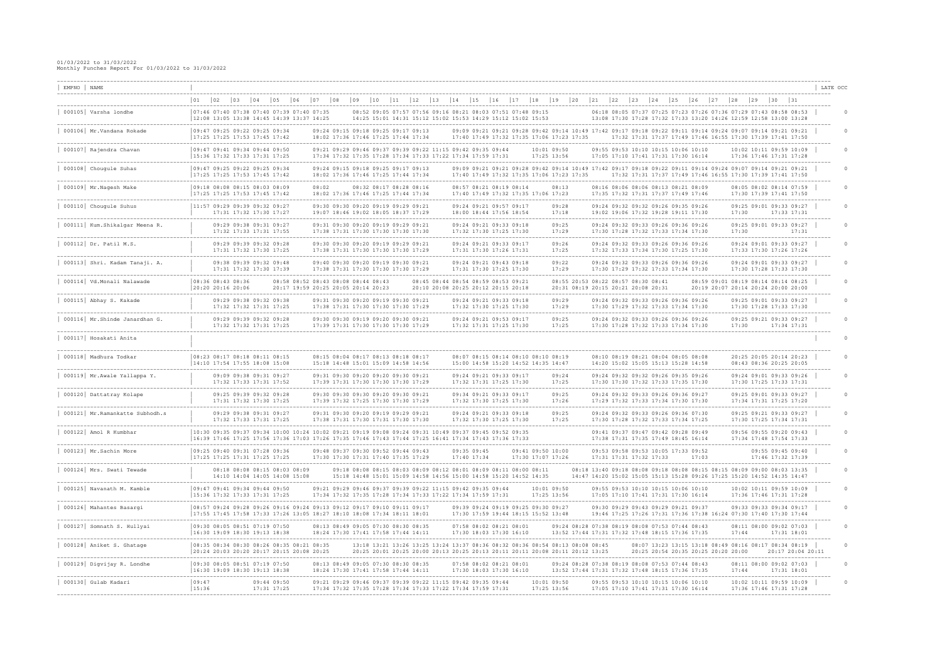| EMPNO   NAME                                               |                                                                                                                                                                                                                |              |                                                                |                                                                            |                                                                                                                            |              |                         |    |                         |            |             |             |    |                                                                                                                                        |      |                                                                                                                                                                |                                                                                                    |               |              |                                                                                                               |              |    |                                                                                                                                                    |       |              |                         |                                                            | LATE OCC                             |  |
|------------------------------------------------------------|----------------------------------------------------------------------------------------------------------------------------------------------------------------------------------------------------------------|--------------|----------------------------------------------------------------|----------------------------------------------------------------------------|----------------------------------------------------------------------------------------------------------------------------|--------------|-------------------------|----|-------------------------|------------|-------------|-------------|----|----------------------------------------------------------------------------------------------------------------------------------------|------|----------------------------------------------------------------------------------------------------------------------------------------------------------------|----------------------------------------------------------------------------------------------------|---------------|--------------|---------------------------------------------------------------------------------------------------------------|--------------|----|----------------------------------------------------------------------------------------------------------------------------------------------------|-------|--------------|-------------------------|------------------------------------------------------------|--------------------------------------|--|
| -------------------------                                  | 02<br> 01<br>$ 03\rangle$                                                                                                                                                                                      | $ 04\rangle$ | $ 05\rangle$<br>$ 06\rangle$                                   | $ 07\rangle$                                                               | $\begin{array}{c} 0 & 8 \end{array}$                                                                                       | $ 09\rangle$ | 10                      | 11 | 12                      | $\vert$ 13 | 14          | 15          | 16 | $\vert$ 17                                                                                                                             | $18$ | 19                                                                                                                                                             | 20                                                                                                 | $ 21 $ $ 22 $ | $ 23\rangle$ | 24                                                                                                            | $ 25\rangle$ | 26 | 27                                                                                                                                                 | 28    | $ 29\rangle$ | $ 30 $ $ 31 $           |                                                            |                                      |  |
| 000105 Varsha londhe                                       | 07:46 07:40 07:38 07:40 07:39 07:40 07:35<br>$12:08$ 13:05 13:38 14:45 14:39 13:37 14:25                                                                                                                       |              |                                                                |                                                                            |                                                                                                                            |              |                         |    |                         |            |             |             |    | 08:52 09:05 07:57 07:56 09:16 08:21 08:03 07:51 07:48 09:15<br>14:25 15:01 14:31 15:12 15:02 15:53 14:29 15:12 15:02 15:53             |      |                                                                                                                                                                |                                                                                                    |               |              |                                                                                                               |              |    | 06:18 08:05 07:37 07:25 07:23 07:26 07:36 07:29 07:43 08:58 08:53<br>13:08 17:30 17:28 17:32 17:33 13:20 14:26 12:59 12:58 13:00 13:28             |       |              |                         |                                                            |                                      |  |
| 000106 Mr.Vandana Rokade                                   | 09:47 09:25 09:22 09:25 09:34<br>17:25 17:25 17:53 17:45 17:42                                                                                                                                                 |              |                                                                |                                                                            | 09:24 09:15 09:18 09:25 09:17 09:13<br>18:02 17:36 17:46 17:25 17:44 17:34                                                 |              |                         |    |                         |            |             |             |    |                                                                                                                                        |      | 09:09 09:21 09:21 09:28 09:42 09:14 10:49 17:42 09:17 09:18 09:22 09:11 09:14 09:24 09:07 09:14 09:21 09:21<br>17:40 17:49 17:32 17:35 17:06 17:23 17:35       |                                                                                                    |               |              |                                                                                                               |              |    | 17:32 17:31 17:37 17:49 17:46 16:55 17:30 17:39 17:41 17:50                                                                                        |       |              |                         |                                                            |                                      |  |
| 000107 Rajendra Chavan                                     | 09:47 09:41 09:34 09:44 09:50<br>$15:36$ 17:32 17:33 17:31 17:25                                                                                                                                               |              | -------------------------                                      |                                                                            | 09:21 09:29 09:46 09:37 09:39 09:22 11:15 09:42 09:35 09:44<br>17:34 17:32 17:35 17:28 17:34 17:33 17:22 17:34 17:59 17:31 |              |                         |    |                         |            |             |             |    |                                                                                                                                        |      | 10:01 09:50<br>17:25 13:56                                                                                                                                     |                                                                                                    |               |              | 09:55 09:53 10:10 10:15 10:06 10:10<br>17:05 17:10 17:41 17:31 17:30 16:14                                    |              |    |                                                                                                                                                    |       |              | 17:36 17:46 17:31 17:28 | 10:02 10:11 09:59 10:09                                    |                                      |  |
| 000108 Chougule Suhas                                      | 09:47 09:25 09:22 09:25 09:34<br>17:25 17:25 17:53 17:45 17:42                                                                                                                                                 |              |                                                                |                                                                            | 09:24 09:15 09:18 09:25 09:17 09:13<br>18:02 17:36 17:46 17:25 17:44 17:34                                                 |              |                         |    |                         |            |             |             |    |                                                                                                                                        |      | 09:09 09:21 09:21 09:28 09:42 09:14 10:49 17:42 09:17 09:18 09:22 09:11 09:14 09:24 09:07 09:14 09:21 09:21<br>17:40 17:49 17:32 17:35 17:06 17:23 17:35       |                                                                                                    |               |              |                                                                                                               |              |    | 17:32 17:31 17:37 17:49 17:46 16:55 17:30 17:39 17:41 17:50                                                                                        |       |              |                         |                                                            |                                      |  |
| 000109 Mr. Nagesh Make                                     | 09:18 08:08 08:15 08:03 08:09<br>$17:25$ 17:25 17:53 17:45 17:42                                                                                                                                               |              |                                                                | 08:02                                                                      | 18:02 17:36 17:46 17:25 17:44 17:34                                                                                        |              |                         |    | 08:32 08:17 08:28 08:16 |            |             |             |    | 08:57 08:21 08:19 08:14                                                                                                                |      | 08:13<br>17:40 17:49 17:32 17:35 17:06 17:23                                                                                                                   |                                                                                                    |               |              | 08:16 08:06 08:06 08:13 08:21 08:09<br>17:35 17:32 17:31 17:37 17:49 17:46<br>---------------------           |              |    |                                                                                                                                                    |       |              | 17:30 17:39 17:41 17:50 | 08:05 08:02 08:14 07:59                                    |                                      |  |
| 000110 Chougule Suhus                                      | $11:57$ 09:29 09:39 09:32 09:27                                                                                                                                                                                |              | 17:31 17:32 17:30 17:27                                        |                                                                            | 09:30 09:30 09:20 09:19 09:29 09:21<br>19:07 18:46 19:02 18:05 18:37 17:29                                                 |              | ----------------------- |    |                         |            |             |             |    | 09:24 09:21 09:57 09:17<br>18:00 18:44 17:56 18:54                                                                                     |      | 09:28<br>17:18                                                                                                                                                 |                                                                                                    |               |              | 09:24 09:32 09:32 09:26 09:35 09:26<br>19:02 19:06 17:32 19:28 19:11 17:30                                    |              |    |                                                                                                                                                    |       | 17:30        | 17:33 17:31             | 09:25 09:01 09:33 09:27                                    |                                      |  |
| 000111   Kum. Shikalgar Meena R.<br>---------------------- | .                                                                                                                                                                                                              |              | 09:29 09:38 09:31 09:27<br>17:32 17:33 17:31 17:55             |                                                                            | 09:31 09:30 09:20 09:19 09:29 09:21<br>17:38 17:31 17:30 17:30 17:30 17:30                                                 |              |                         |    |                         |            |             |             |    | 09:24 09:21 09:33 09:18<br>17:32 17:30 17:25 17:30                                                                                     |      | 09:25<br>17:29<br>-------                                                                                                                                      |                                                                                                    |               |              | 09:24 09:32 09:33 09:26 09:36 09:26<br>17:30 17:28 17:32 17:33 17:34 17:30<br>------------------------------  |              |    |                                                                                                                                                    | 17:30 |              |                         | 09:25 09:01 09:33 09:27<br>17:31                           |                                      |  |
| $000112$ Dr. Patil M.S.                                    |                                                                                                                                                                                                                |              | 09:29 09:39 09:32 09:28<br>17:31 17:32 17:30 17:25             |                                                                            | 09:30 09:30 09:20 09:19 09:29 09:21<br>17:38 17:31 17:30 17:30 17:30 17:29                                                 |              |                         |    |                         |            |             |             |    | 09:24 09:21 09:33 09:17<br>17:31 17:30 17:26 17:31                                                                                     |      | 09:26<br>17:25<br>--------                                                                                                                                     |                                                                                                    |               |              | 09:24 09:32 09:33 09:26 09:36 09:26<br>17:32 17:33 17:34 17:30 17:25 17:30                                    |              |    |                                                                                                                                                    |       |              | 17:33 17:30 17:26 17:26 | 09:24 09:01 09:33 09:27                                    | -------------------------------      |  |
| 000113 Shri. Kadam Tanaji. A.                              |                                                                                                                                                                                                                |              | 09:38 09:39 09:32 09:48<br>17:31 17:32 17:30 17:39             |                                                                            | 09:40 09:30 09:20 09:19 09:30 09:21<br>17:38 17:31 17:30 17:30 17:30 17:29                                                 |              |                         |    |                         |            |             |             |    | 09:24 09:21 09:43 09:18<br>17:31 17:30 17:25 17:30                                                                                     |      | 09:22<br>17:29                                                                                                                                                 |                                                                                                    |               |              | 09:24 09:32 09:33 09:26 09:36 09:26<br>17:30 17:29 17:32 17:33 17:34 17:30<br>------------------------------- |              |    |                                                                                                                                                    |       |              | 17:30 17:28 17:33 17:30 | 09:24 09:01 09:33 09:27                                    | ____________________________________ |  |
| 000114 Vd.Monali Nalawade<br>----------------              | 08:36 08:43 08:36<br>20:2020:1620:06                                                                                                                                                                           |              |                                                                | 08:58 08:52 08:43 08:08 08:44 08:43<br>20:17 19:59 20:25 20:05 20:14 20:23 |                                                                                                                            |              |                         |    |                         |            |             |             |    | 08:45 08:44 08:54 08:59 08:53 09:21<br>20:10 20:08 20:25 20:12 20:15 20:18                                                             |      |                                                                                                                                                                | 08:55 20:53 08:22 08:57 08:30 08:41<br>20:31 08:19 20:15 20:21 20:08 20:31                         |               |              |                                                                                                               |              |    | 08:59 09:01 08:19 08:14 08:14 08:25<br>20:19 20:07 20:14 20:24 20:00 20:00                                                                         |       |              |                         |                                                            |                                      |  |
| 000115 Abhay S. Kakade                                     |                                                                                                                                                                                                                |              | 09:29 09:38 09:32 09:38<br>17:32 17:32 17:31 17:25             |                                                                            | 09:31 09:30 09:20 09:19 09:30 09:21<br>17:38 17:31 17:30 17:30 17:30 17:29                                                 |              |                         |    |                         |            |             |             |    | 09:24 09:21 09:33 09:18<br>17:32 17:30 17:25 17:30                                                                                     |      | 09:29<br>17:29<br>--------                                                                                                                                     |                                                                                                    |               |              | 09:24 09:32 09:33 09:26 09:36 09:26<br>17:30 17:29 17:32 17:33 17:34 17:30                                    |              |    |                                                                                                                                                    |       |              | 17:30 17:28 17:33 17:30 | 09:25 09:01 09:33 09:27<br>------------------------------- |                                      |  |
| 000116 Mr.Shinde Janardhan G.                              |                                                                                                                                                                                                                |              | 09:29 09:39 09:32 09:28<br>17:32 17:32 17:31 17:25             |                                                                            | 09:30 09:30 09:19 09:20 09:30 09:21<br>17:39 17:31 17:30 17:30 17:30 17:29                                                 |              |                         |    |                         |            |             |             |    | 09:24 09:21 09:53 09:17<br>17:32 17:31 17:25 17:30                                                                                     |      | 09:25<br>17:25                                                                                                                                                 |                                                                                                    |               |              | 09:24 09:32 09:33 09:26 09:36 09:26<br>17:30 17:28 17:32 17:33 17:34 17:30                                    |              |    |                                                                                                                                                    |       | 17:30        | 17:34 17:31             | 09:25 09:21 09:33 09:27                                    |                                      |  |
| 000117 Hosakati Anita                                      |                                                                                                                                                                                                                |              |                                                                |                                                                            |                                                                                                                            |              |                         |    |                         |            |             |             |    |                                                                                                                                        |      |                                                                                                                                                                |                                                                                                    |               |              | ----------------------                                                                                        |              |    |                                                                                                                                                    |       |              |                         |                                                            |                                      |  |
| 000118 Madhura Todkar                                      | 08:23 08:17 08:18 08:11 08:15<br>$14:10$ 17:54 17:55 18:08 15:08                                                                                                                                               |              |                                                                |                                                                            | 08:15 08:04 08:17 08:13 08:18 08:17<br>15:18 14:48 15:01 15:09 14:58 14:56                                                 |              |                         |    |                         |            |             |             |    |                                                                                                                                        |      | 08:07 08:15 08:14 08:10 08:10 08:19<br>15:00 14:58 15:20 14:52 14:35 14:47                                                                                     |                                                                                                    |               |              | 08:10 08:19 08:21 08:04 08:05 08:08<br>14:20 15:02 15:05 15:13 15:28 14:58                                    |              |    |                                                                                                                                                    |       |              | 08:43 08:36 20:25 20:05 | 20:25 20:05 20:14 20:23                                    | --------------------------------     |  |
| 000119 Mr. Awale Yallappa Y.                               |                                                                                                                                                                                                                |              | 09:09 09:38 09:31 09:27<br>17:32 17:33 17:31 17:52             |                                                                            | 09:31 09:30 09:20 09:20 09:30 09:21<br>17:39 17:31 17:30 17:30 17:30 17:29                                                 |              |                         |    |                         |            |             |             |    | 09:24 09:21 09:33 09:17<br>17:32 17:31 17:25 17:30                                                                                     |      | 09:24<br>17:25                                                                                                                                                 |                                                                                                    |               |              | 09:24 09:32 09:32 09:26 09:35 09:26<br>17:30 17:30 17:32 17:33 17:35 17:30                                    |              |    |                                                                                                                                                    |       |              | 17:30 17:25 17:33 17:31 | 09:24 09:01 09:33 09:26<br>------------------------        |                                      |  |
| 000120 Dattatray Kolape                                    |                                                                                                                                                                                                                |              | 09:25 09:39 09:32 09:28<br>17:31 17:32 17:30 17:25             |                                                                            | 09:30 09:30 09:30 09:20 09:30 09:21<br>17:39 17:32 17:25 17:30 17:30 17:29                                                 |              |                         |    |                         |            |             |             |    | 09:34 09:21 09:33 09:17<br>17:32 17:30 17:25 17:30                                                                                     |      | 09:25<br>17:26<br>--------                                                                                                                                     |                                                                                                    |               |              | 09:24 09:32 09:33 09:26 09:36 09:27<br>17:29 17:32 17:33 17:34 17:30 17:30                                    |              |    |                                                                                                                                                    |       |              | 17:34 17:31 17:25 17:20 | 09:25 09:01 09:33 09:27                                    | ---------------------------------    |  |
| 000121 Mr. Ramankatte Subhodh.s                            |                                                                                                                                                                                                                |              | 09:29 09:38 09:31 09:27<br>17:32 17:33 17:31 17:25             |                                                                            | 09:31 09:30 09:20 09:19 09:29 09:21<br>17:38 17:31 17:30 17:31 17:30 17:30                                                 |              |                         |    |                         |            |             |             |    | 09:24 09:21 09:33 09:18<br>17:32 17:30 17:25 17:30                                                                                     |      | 09:25<br>17:25                                                                                                                                                 |                                                                                                    |               |              | 09:24 09:32 09:33 09:26 09:36 07:30<br>17:30 17:28 17:32 17:33 17:34 17:25                                    |              |    |                                                                                                                                                    |       |              | 17:30 17:25 17:34 17:31 | 09:25 09:21 09:33 09:27                                    |                                      |  |
| 000122 Amol R Kumbha:                                      | 10:30 09:35 09:37 09:34 10:00 10:24 10:02 09:21 09:19 09:08 09:24 09:31 10:49 09:37 09:45 09:52 09:35<br>16:39 17:46 17:25 17:56 17:36 17:03 17:26 17:35 17:46 17:43 17:44 17:25 16:41 17:34 17:43 17:36 17:33 |              |                                                                |                                                                            |                                                                                                                            |              |                         |    |                         |            |             |             |    |                                                                                                                                        |      |                                                                                                                                                                |                                                                                                    |               |              | 09:41 09:37 09:47 09:42 09:28 09:49<br>17:38 17:31 17:35 17:49 18:45 16:14                                    |              |    |                                                                                                                                                    |       |              | 17:34 17:48 17:54 17:33 | 09:56 09:55 09:20 09:43                                    |                                      |  |
| 000123 Mr. Sachin More                                     | 09:25 09:40 09:31 07:28 09:36<br> 17:25 17:25 17:31 17:25 17:25                                                                                                                                                |              |                                                                |                                                                            | 09:48 09:37 09:30 09:52 09:44 09:43<br>17:30 17:30 17:31 17:40 17:35 17:29                                                 |              |                         |    |                         |            | 17:40 17:34 | 09:35 09:45 |    |                                                                                                                                        |      | 09:41 09:50 10:00<br>17:30 17:07 17:26                                                                                                                         |                                                                                                    |               |              | 09:53 09:58 09:53 10:05 17:33 09:52<br>17:31 17:31 17:32 17:33                                                |              |    | 17:03                                                                                                                                              |       |              | 17:46 17:32 17:39       | 09:55 09:45 09:40                                          |                                      |  |
| 000124 Mrs. Swati Tewade                                   |                                                                                                                                                                                                                |              | 08:18 08:08 08:15 08:03 08:09<br>14:10 14:04 14:05 14:08 15:08 |                                                                            |                                                                                                                            |              |                         |    |                         |            |             |             |    | 09:18 08:08 08:15 08:03 08:09 08:12 08:01 08:09 08:11 08:00 08:11<br>15:18 14:48 15:01 15:09 14:58 14:56 15:00 14:58 15:20 14:52 14:35 |      |                                                                                                                                                                |                                                                                                    |               |              |                                                                                                               |              |    | 08:18 13:40 09:18 08:08 09:18 08:08 08:15 08:15 08:09 09:00 08:03 13:35<br>14:47 14:20 15:02 15:05 15:13 15:28 09:26 17:25 15:20 14:52 14:35 14:47 |       |              |                         |                                                            |                                      |  |
| 000125 Navanath M. Kamble                                  | 09:47 09:41 09:34 09:44 09:50<br> 15:36 17:32 17:33 17:31 17:25                                                                                                                                                |              |                                                                |                                                                            | 09:21 09:29 09:46 09:37 09:39 09:22 11:15 09:42 09:35 09:44<br>17:34 17:32 17:35 17:28 17:34 17:33 17:22 17:34 17:59 17:31 |              |                         |    |                         |            |             |             |    |                                                                                                                                        |      | 10:01 09:50<br>17:25 13:56                                                                                                                                     |                                                                                                    |               |              | 09:55 09:53 10:10 10:15 10:06 10:10<br>17:05 17:10 17:41 17:31 17:30 16:14                                    |              |    |                                                                                                                                                    |       |              | 17:36 17:46 17:31 17:28 | 10:02 10:11 09:59 10:09                                    |                                      |  |
| 000126   Mahantes Basargi                                  | 08:57 09:24 09:28 09:26 09:16 09:24 09:13 09:12 09:17 09:10 09:11 09:17<br> 17:55 17:45 17:58 17:33 17:26 13:05 18:27 18:10 18:08 17:34 18:11 18:01                                                            |              |                                                                |                                                                            |                                                                                                                            |              |                         |    |                         |            |             |             |    |                                                                                                                                        |      | 09:39 09:24 09:19 09:25 09:30 09:27<br>17:30 17:59 19:44 18:15 15:52 13:48                                                                                     |                                                                                                    |               |              | 09:30 09:29 09:43 09:29 09:21 09:37                                                                           |              |    | 19:46 17:25 17:26 17:31 17:36 17:38 16:24 07:30 17:40 17:30 17:44                                                                                  |       |              |                         | 09:33 09:33 09:34 09:17                                    |                                      |  |
| 000127 Somnath S. Hullyai                                  | 09:30 08:05 08:51 07:19 07:50<br> 16:30 19:09 18:30 19:13 18:38                                                                                                                                                |              |                                                                |                                                                            | 08:13 08:49 09:05 07:30 08:30 08:35<br>18:24 17:30 17:41 17:58 17:44 14:11                                                 |              |                         |    |                         |            |             |             |    | 07:58 08:02 08:21 08:01<br>17:30 18:03 17:30 16:10                                                                                     |      |                                                                                                                                                                | 09:24 08:28 07:38 08:19 08:08 07:53 07:44 08:43<br>13:52 17:44 17:31 17:32 17:48 18:15 17:36 17:35 |               |              |                                                                                                               |              |    |                                                                                                                                                    |       | 17:44        | 17:31 18:01             | 08:11 08:00 09:02 07:03                                    |                                      |  |
| 000128 Aniket S. Ghatage                                   | 08:35 08:34 08:30 08:26 08:35 08:21 08:35<br> 20:24 20:03 20:20 20:17 20:15 20:08 20:25                                                                                                                        |              |                                                                |                                                                            |                                                                                                                            |              |                         |    |                         |            |             |             |    |                                                                                                                                        |      | 13:18 13:21 13:26 13:25 13:24 13:37 08:36 08:32 08:36 08:54 08:13 08:08 08:45<br>20:25 20:01 20:25 20:00 20:13 20:25 20:13 20:11 20:11 20:08 20:11 20:12 13:25 |                                                                                                    |               |              |                                                                                                               |              |    | 08:07 13:23 13:15 13:18 08:49 08:16 08:17 08:34 08:19<br>20:25 20:54 20:35 20:25 20:20 20:00                                                       |       |              |                         | 20:17 20:04 20:11                                          |                                      |  |
| 000129 Digvijay R. Londhe                                  | 09:30 08:05 08:51 07:19 07:50<br>$16:30$ 19:09 18:30 19:13 18:38                                                                                                                                               |              |                                                                |                                                                            | 08:13 08:49 09:05 07:30 08:30 08:35<br>18:24 17:30 17:41 17:58 17:44 14:11                                                 |              |                         |    |                         |            |             |             |    | 07:58 08:02 08:21 08:01<br>17:30 18:03 17:30 16:10                                                                                     |      |                                                                                                                                                                | 09:24 08:28 07:38 08:19 08:08 07:53 07:44 08:43<br>13:52 17:44 17:31 17:32 17:48 18:15 17:36 17:35 |               |              |                                                                                                               |              |    |                                                                                                                                                    |       | 17:44        | 17:31 18:01             | 08:11 08:00 09:02 07:03                                    |                                      |  |
| 000130 Gulab Kadari                                        | 09:47<br>15:36                                                                                                                                                                                                 |              | 09:44 09:50<br>17:31 17:25                                     |                                                                            | 09:21 09:29 09:46 09:37 09:39 09:22 11:15 09:42 09:35 09:44<br>17:34 17:32 17:35 17:28 17:34 17:33 17:22 17:34 17:59 17:31 |              |                         |    |                         |            |             |             |    |                                                                                                                                        |      | 10:01 09:50<br>17:25 13:56                                                                                                                                     |                                                                                                    |               |              | 09:55 09:53 10:10 10:15 10:06 10:10<br>17:05 17:10 17:41 17:31 17:30 16:14                                    |              |    |                                                                                                                                                    |       |              | 17:36 17:46 17:31 17:28 | 10:02 10:11 09:59 10:09                                    |                                      |  |